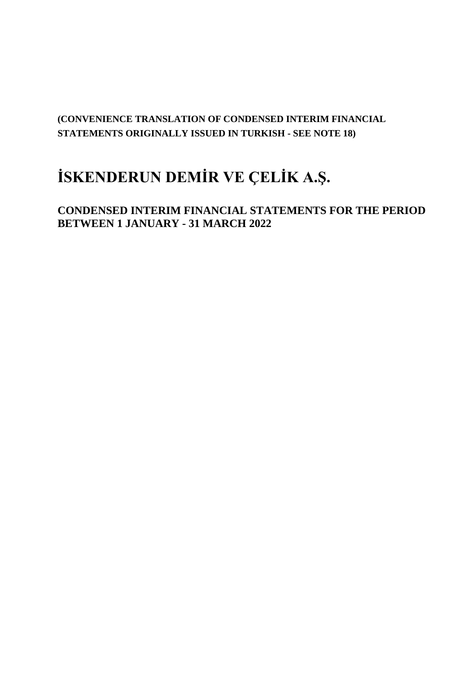# **(CONVENIENCE TRANSLATION OF CONDENSED INTERIM FINANCIAL STATEMENTS ORIGINALLY ISSUED IN TURKISH - SEE NOTE 18)**

# **İSKENDERUN DEMİR VE ÇELİK A.Ş.**

**CONDENSED INTERIM FINANCIAL STATEMENTS FOR THE PERIOD BETWEEN 1 JANUARY - 31 MARCH 2022**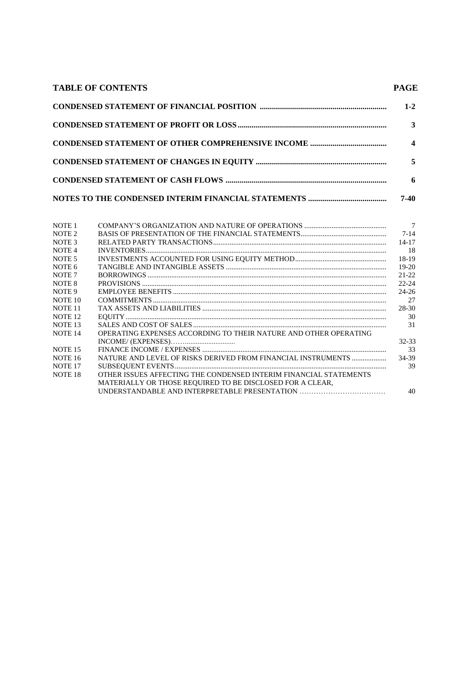| <b>TABLE OF CONTENTS</b> | <b>PAGE</b>             |
|--------------------------|-------------------------|
|                          | $1 - 2$                 |
|                          | 3                       |
|                          | $\overline{\mathbf{4}}$ |
|                          | 5                       |
|                          | 6                       |
|                          | 7-40                    |

| NOTE <sub>1</sub>  |                                                                   | $\overline{7}$ |
|--------------------|-------------------------------------------------------------------|----------------|
| NOTE <sub>2</sub>  |                                                                   | $7 - 14$       |
| NOTE <sub>3</sub>  |                                                                   | $14 - 17$      |
| NOTE <sub>4</sub>  |                                                                   | -18            |
| NOTE <sub>5</sub>  |                                                                   | 18-19          |
| NOTE 6             |                                                                   | $19-20$        |
| NOTE <sub>7</sub>  |                                                                   | 21-22          |
| NOTE 8             |                                                                   | $22 - 24$      |
| NOTE 9             |                                                                   | $24 - 26$      |
| NOTE 10            |                                                                   | 27             |
| NOTE 11            |                                                                   | 28-30          |
| NOTE <sub>12</sub> | ${\bf EQUITY}\textrm{}\label{thm:main}$                           | 30             |
| NOTE <sub>13</sub> |                                                                   | 31             |
| NOTE <sub>14</sub> | OPERATING EXPENSES ACCORDING TO THEIR NATURE AND OTHER OPERATING  |                |
|                    |                                                                   | 32-33          |
| NOTE 15            |                                                                   | 33             |
| <b>NOTE 16</b>     | NATURE AND LEVEL OF RISKS DERIVED FROM FINANCIAL INSTRUMENTS      | 34-39          |
| NOTE <sub>17</sub> |                                                                   | 39             |
| NOTE <sub>18</sub> | OTHER ISSUES AFFECTING THE CONDENSED INTERIM FINANCIAL STATEMENTS |                |
|                    | MATERIALLY OR THOSE REQUIRED TO BE DISCLOSED FOR A CLEAR,         |                |
|                    | UNDERSTANDABLE AND INTERPRETABLE PRESENTATION                     | 40             |
|                    |                                                                   |                |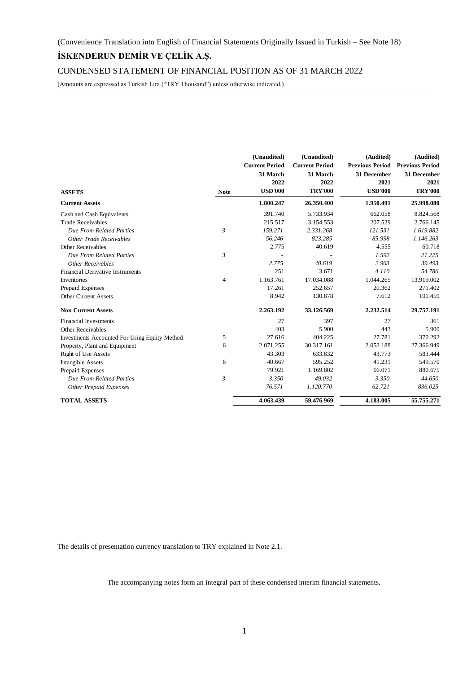CONDENSED STATEMENT OF FINANCIAL POSITION AS OF 31 MARCH 2022

(Amounts are expressed as Turkish Lira ("TRY Thousand") unless otherwise indicated.)

|                                                      |                | (Unaudited)           | (Unaudited)           | (Audited)              | (Audited)              |
|------------------------------------------------------|----------------|-----------------------|-----------------------|------------------------|------------------------|
|                                                      |                | <b>Current Period</b> | <b>Current Period</b> | <b>Previous Period</b> | <b>Previous Period</b> |
|                                                      |                | 31 March              | 31 March              | 31 December            | 31 December            |
|                                                      |                | 2022                  | 2022                  | 2021                   | 2021                   |
| <b>ASSETS</b>                                        | <b>Note</b>    | <b>USD'000</b>        | <b>TRY'000</b>        | <b>USD'000</b>         | <b>TRY'000</b>         |
| <b>Current Assets</b>                                |                | 1.800.247             | 26.350.400            | 1.950.491              | 25.998.080             |
| Cash and Cash Equivalents                            |                | 391.740               | 5.733.934             | 662.058                | 8.824.568              |
| <b>Trade Receivables</b>                             |                | 215.517               | 3.154.553             | 207.529                | 2.766.145              |
| Due From Related Parties                             | $\mathfrak{Z}$ | 159.271               | 2.331.268             | 121.531                | 1.619.882              |
| Other Trade Receivables                              |                | 56.246                | 823.285               | 85.998                 | 1.146.263              |
| Other Receivables                                    |                | 2.775                 | 40.619                | 4.555                  | 60.718                 |
| Due From Related Parties                             | 3              |                       |                       | 1.592                  | 21.225                 |
| Other Receivables                                    |                | 2.775                 | 40.619                | 2.963                  | 39.493                 |
| <b>Financial Derivative Instruments</b>              |                | 251                   | 3.671                 | 4.110                  | 54.786                 |
| Inventories                                          | 4              | 1.163.761             | 17.034.088            | 1.044.265              | 13.919.002             |
| Prepaid Expenses                                     |                | 17.261                | 252.657               | 20.362                 | 271.402                |
| <b>Other Current Assets</b>                          |                | 8.942                 | 130.878               | 7.612                  | 101.459                |
| <b>Non Current Assets</b>                            |                | 2.263.192             | 33.126.569            | 2.232.514              | 29.757.191             |
| <b>Financial Investments</b>                         |                | 27                    | 397                   | 27                     | 361                    |
| <b>Other Receivables</b>                             |                | 403                   | 5.900                 | 443                    | 5.900                  |
| <b>Investments Accounted For Using Equity Method</b> | 5              | 27.616                | 404.225               | 27.781                 | 370.292                |
| Property, Plant and Equipment                        | 6              | 2.071.255             | 30.317.161            | 2.053.188              | 27.366.949             |
| Right of Use Assets                                  |                | 43.303                | 633.832               | 43.773                 | 583.444                |
| Intangible Assets                                    | 6              | 40.667                | 595.252               | 41.231                 | 549.570                |
| Prepaid Expenses                                     |                | 79.921                | 1.169.802             | 66.071                 | 880.675                |
| Due From Related Parties                             | 3              | 3.350                 | 49.032                | 3.350                  | 44.650                 |
| <b>Other Prepaid Expenses</b>                        |                | 76.571                | 1.120.770             | 62.721                 | 836.025                |
| <b>TOTAL ASSETS</b>                                  |                | 4.063.439             | 59.476.969            | 4.183.005              | 55.755.271             |

The details of presentation currency translation to TRY explained in Note 2.1.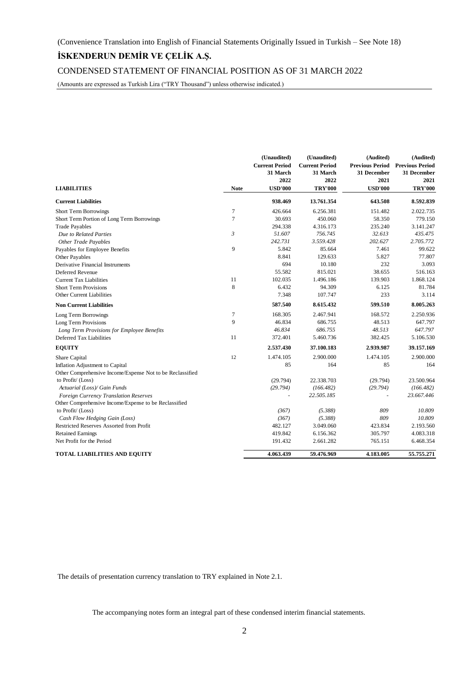CONDENSED STATEMENT OF FINANCIAL POSITION AS OF 31 MARCH 2022

(Amounts are expressed as Turkish Lira ("TRY Thousand") unless otherwise indicated.)

|                                                           |             | (Unaudited)<br><b>Current Period</b><br>31 March<br>2022 | (Unaudited)<br><b>Current Period</b><br>31 March<br>2022 | (Audited)<br><b>Previous Period Previous Period</b><br>31 December<br>2021 | (Audited)<br>31 December<br>2021 |
|-----------------------------------------------------------|-------------|----------------------------------------------------------|----------------------------------------------------------|----------------------------------------------------------------------------|----------------------------------|
| <b>LIABILITIES</b>                                        | <b>Note</b> | <b>USD'000</b>                                           | <b>TRY'000</b>                                           | <b>USD'000</b>                                                             | <b>TRY'000</b>                   |
| <b>Current Liabilities</b>                                |             | 938.469                                                  | 13.761.354                                               | 643.508                                                                    | 8.592.839                        |
| <b>Short Term Borrowings</b>                              | 7           | 426.664                                                  | 6.256.381                                                | 151.482                                                                    | 2.022.735                        |
| Short Term Portion of Long Term Borrowings                | 7           | 30.693                                                   | 450.060                                                  | 58.350                                                                     | 779.150                          |
| <b>Trade Payables</b>                                     |             | 294.338                                                  | 4.316.173                                                | 235.240                                                                    | 3.141.247                        |
| Due to Related Parties                                    | 3           | 51.607                                                   | 756.745                                                  | 32.613                                                                     | 435.475                          |
| <b>Other Trade Payables</b>                               |             | 242.731                                                  | 3.559.428                                                | 202.627                                                                    | 2.705.772                        |
| Payables for Employee Benefits                            | 9           | 5.842                                                    | 85.664                                                   | 7.461                                                                      | 99.622                           |
| Other Payables                                            |             | 8.841                                                    | 129.633                                                  | 5.827                                                                      | 77.807                           |
| Derivative Financial Instruments                          |             | 694                                                      | 10.180                                                   | 232                                                                        | 3.093                            |
| Deferred Revenue                                          |             | 55.582                                                   | 815.021                                                  | 38.655                                                                     | 516.163                          |
| <b>Current Tax Liabilities</b>                            | 11          | 102.035                                                  | 1.496.186                                                | 139.903                                                                    | 1.868.124                        |
| <b>Short Term Provisions</b>                              | 8           | 6.432                                                    | 94.309                                                   | 6.125                                                                      | 81.784                           |
| <b>Other Current Liabilities</b>                          |             | 7.348                                                    | 107.747                                                  | 233                                                                        | 3.114                            |
| <b>Non Current Liabilities</b>                            |             | 587.540                                                  | 8.615.432                                                | 599.510                                                                    | 8.005.263                        |
| Long Term Borrowings                                      | 7           | 168.305                                                  | 2.467.941                                                | 168.572                                                                    | 2.250.936                        |
| Long Term Provisions                                      | 9           | 46.834                                                   | 686.755                                                  | 48.513                                                                     | 647.797                          |
| Long Term Provisions for Employee Benefits                |             | 46.834                                                   | 686.755                                                  | 48.513                                                                     | 647.797                          |
| Deferred Tax Liabilities                                  | 11          | 372.401                                                  | 5.460.736                                                | 382.425                                                                    | 5.106.530                        |
| <b>EQUITY</b>                                             |             | 2.537.430                                                | 37.100.183                                               | 2.939.987                                                                  | 39.157.169                       |
| Share Capital                                             | 12          | 1.474.105                                                | 2.900.000                                                | 1.474.105                                                                  | 2.900.000                        |
| Inflation Adjustment to Capital                           |             | 85                                                       | 164                                                      | 85                                                                         | 164                              |
| Other Comprehensive Income/Expense Not to be Reclassified |             |                                                          |                                                          |                                                                            |                                  |
| to Profit/ (Loss)                                         |             | (29.794)                                                 | 22.338.703                                               | (29.794)                                                                   | 23.500.964                       |
| Actuarial (Loss)/ Gain Funds                              |             | (29.794)                                                 | (166.482)                                                | (29.794)                                                                   | (166.482)                        |
| Foreign Currency Translation Reserves                     |             |                                                          | 22.505.185                                               |                                                                            | 23.667.446                       |
| Other Comprehensive Income/Expense to be Reclassified     |             |                                                          |                                                          |                                                                            |                                  |
| to Profit/ (Loss)                                         |             | (367)                                                    | (5.388)                                                  | 809                                                                        | 10.809                           |
| Cash Flow Hedging Gain (Loss)                             |             | (367)                                                    | (5.388)                                                  | 809                                                                        | 10.809                           |
| Restricted Reserves Assorted from Profit                  |             | 482.127                                                  | 3.049.060                                                | 423.834                                                                    | 2.193.560                        |
| <b>Retained Earnings</b>                                  |             | 419.842                                                  | 6.156.362                                                | 305.797                                                                    | 4.083.318                        |
| Net Profit for the Period                                 |             | 191.432                                                  | 2.661.282                                                | 765.151                                                                    | 6.468.354                        |
| <b>TOTAL LIABILITIES AND EQUITY</b>                       |             | 4.063.439                                                | 59.476.969                                               | 4.183.005                                                                  | 55.755.271                       |

The details of presentation currency translation to TRY explained in Note 2.1.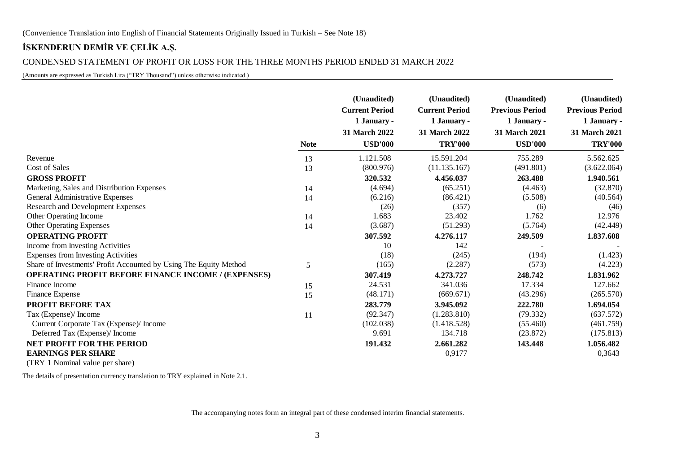# CONDENSED STATEMENT OF PROFIT OR LOSS FOR THE THREE MONTHS PERIOD ENDED 31 MARCH 2022

(Amounts are expressed as Turkish Lira ("TRY Thousand") unless otherwise indicated.)

|                                                                   |             | (Unaudited)<br><b>Current Period</b><br>1 January - | (Unaudited)<br><b>Current Period</b><br>1 January - | (Unaudited)<br><b>Previous Period</b><br>1 January - | (Unaudited)<br><b>Previous Period</b><br>1 January - |
|-------------------------------------------------------------------|-------------|-----------------------------------------------------|-----------------------------------------------------|------------------------------------------------------|------------------------------------------------------|
|                                                                   |             | 31 March 2022                                       | 31 March 2022                                       | 31 March 2021                                        | 31 March 2021                                        |
|                                                                   | <b>Note</b> | <b>USD'000</b>                                      | <b>TRY'000</b>                                      | <b>USD'000</b>                                       | <b>TRY'000</b>                                       |
| Revenue                                                           | 13          | 1.121.508                                           | 15.591.204                                          | 755.289                                              | 5.562.625                                            |
| Cost of Sales                                                     | 13          | (800.976)                                           | (11.135.167)                                        | (491.801)                                            | (3.622.064)                                          |
| <b>GROSS PROFIT</b>                                               |             | 320.532                                             | 4.456.037                                           | 263.488                                              | 1.940.561                                            |
| Marketing, Sales and Distribution Expenses                        | 14          | (4.694)                                             | (65.251)                                            | (4.463)                                              | (32.870)                                             |
| General Administrative Expenses                                   | 14          | (6.216)                                             | (86.421)                                            | (5.508)                                              | (40.564)                                             |
| Research and Development Expenses                                 |             | (26)                                                | (357)                                               | (6)                                                  | (46)                                                 |
| Other Operating Income                                            | 14          | 1.683                                               | 23.402                                              | 1.762                                                | 12.976                                               |
| <b>Other Operating Expenses</b>                                   | 14          | (3.687)                                             | (51.293)                                            | (5.764)                                              | (42.449)                                             |
| <b>OPERATING PROFIT</b>                                           |             | 307.592                                             | 4.276.117                                           | 249.509                                              | 1.837.608                                            |
| Income from Investing Activities                                  |             | 10                                                  | 142                                                 |                                                      |                                                      |
| <b>Expenses from Investing Activities</b>                         |             | (18)                                                | (245)                                               | (194)                                                | (1.423)                                              |
| Share of Investments' Profit Accounted by Using The Equity Method | 5           | (165)                                               | (2.287)                                             | (573)                                                | (4.223)                                              |
| <b>OPERATING PROFIT BEFORE FINANCE INCOME / (EXPENSES)</b>        |             | 307.419                                             | 4.273.727                                           | 248.742                                              | 1.831.962                                            |
| Finance Income                                                    | 15          | 24.531                                              | 341.036                                             | 17.334                                               | 127.662                                              |
| Finance Expense                                                   | 15          | (48.171)                                            | (669.671)                                           | (43.296)                                             | (265.570)                                            |
| <b>PROFIT BEFORE TAX</b>                                          |             | 283.779                                             | 3.945.092                                           | 222.780                                              | 1.694.054                                            |
| Tax (Expense)/ Income                                             | 11          | (92.347)                                            | (1.283.810)                                         | (79.332)                                             | (637.572)                                            |
| Current Corporate Tax (Expense)/ Income                           |             | (102.038)                                           | (1.418.528)                                         | (55.460)                                             | (461.759)                                            |
| Deferred Tax (Expense)/ Income                                    |             | 9.691                                               | 134.718                                             | (23.872)                                             | (175.813)                                            |
| NET PROFIT FOR THE PERIOD                                         |             | 191.432                                             | 2.661.282                                           | 143.448                                              | 1.056.482                                            |
| <b>EARNINGS PER SHARE</b>                                         |             |                                                     | 0,9177                                              |                                                      | 0,3643                                               |
| $(TDV1$ Mominal value per share)                                  |             |                                                     |                                                     |                                                      |                                                      |

(TRY 1 Nominal value per share)

The details of presentation currency translation to TRY explained in Note 2.1.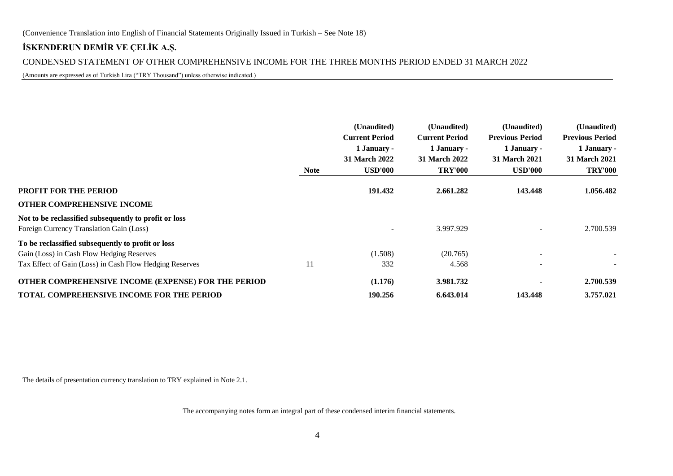# CONDENSED STATEMENT OF OTHER COMPREHENSIVE INCOME FOR THE THREE MONTHS PERIOD ENDED 31 MARCH 2022

(Amounts are expressed as of Turkish Lira ("TRY Thousand") unless otherwise indicated.)

|                                                         | <b>Note</b> | (Unaudited)<br><b>Current Period</b><br>1 January -<br><b>31 March 2022</b><br><b>USD'000</b> | (Unaudited)<br><b>Current Period</b><br>1 January -<br><b>31 March 2022</b><br><b>TRY'000</b> | (Unaudited)<br><b>Previous Period</b><br>1 January -<br><b>31 March 2021</b><br><b>USD'000</b> | (Unaudited)<br><b>Previous Period</b><br>1 January -<br><b>31 March 2021</b><br><b>TRY'000</b> |
|---------------------------------------------------------|-------------|-----------------------------------------------------------------------------------------------|-----------------------------------------------------------------------------------------------|------------------------------------------------------------------------------------------------|------------------------------------------------------------------------------------------------|
| PROFIT FOR THE PERIOD                                   |             | 191.432                                                                                       | 2.661.282                                                                                     | 143.448                                                                                        | 1.056.482                                                                                      |
| OTHER COMPREHENSIVE INCOME                              |             |                                                                                               |                                                                                               |                                                                                                |                                                                                                |
| Not to be reclassified subsequently to profit or loss   |             |                                                                                               |                                                                                               |                                                                                                |                                                                                                |
| Foreign Currency Translation Gain (Loss)                |             | $\overline{\phantom{a}}$                                                                      | 3.997.929                                                                                     |                                                                                                | 2.700.539                                                                                      |
| To be reclassified subsequently to profit or loss       |             |                                                                                               |                                                                                               |                                                                                                |                                                                                                |
| Gain (Loss) in Cash Flow Hedging Reserves               |             | (1.508)                                                                                       | (20.765)                                                                                      |                                                                                                |                                                                                                |
| Tax Effect of Gain (Loss) in Cash Flow Hedging Reserves | 11          | 332                                                                                           | 4.568                                                                                         |                                                                                                |                                                                                                |
| OTHER COMPREHENSIVE INCOME (EXPENSE) FOR THE PERIOD     |             | (1.176)                                                                                       | 3.981.732                                                                                     |                                                                                                | 2.700.539                                                                                      |
| TOTAL COMPREHENSIVE INCOME FOR THE PERIOD               |             | 190.256                                                                                       | 6.643.014                                                                                     | 143.448                                                                                        | 3.757.021                                                                                      |

The details of presentation currency translation to TRY explained in Note 2.1.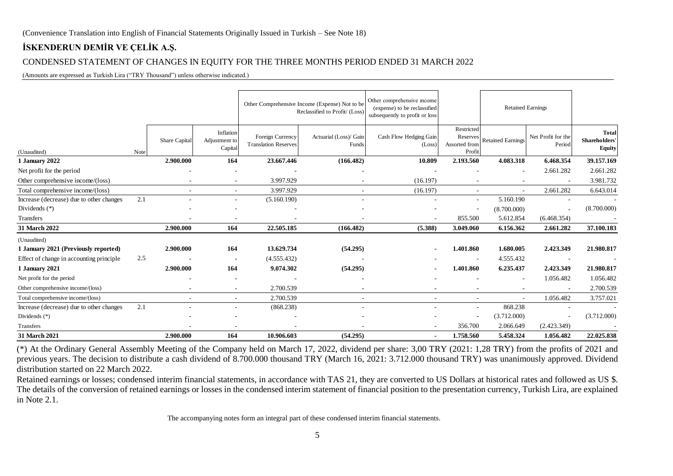# CONDENSED STATEMENT OF CHANGES IN EQUITY FOR THE THREE MONTHS PERIOD ENDED 31 MARCH 2022

(Amounts are expressed as Turkish Lira ("TRY Thousand") unless otherwise indicated.)

|                                                                                                                                                                                                                                                                                                                                                                                                                                                                                                                                                                                                                                                                                                                                                                |      |               |                                       |                                                 | Other Comprehensive Income (Expense) Not to be<br>Reclassified to Profit/ (Loss) | Other comprehensive mcome<br>(expense) to be reclassified<br>subsequently to profit or loss   |                                                   | <b>Retained Earnings</b> |                              |                                                |
|----------------------------------------------------------------------------------------------------------------------------------------------------------------------------------------------------------------------------------------------------------------------------------------------------------------------------------------------------------------------------------------------------------------------------------------------------------------------------------------------------------------------------------------------------------------------------------------------------------------------------------------------------------------------------------------------------------------------------------------------------------------|------|---------------|---------------------------------------|-------------------------------------------------|----------------------------------------------------------------------------------|-----------------------------------------------------------------------------------------------|---------------------------------------------------|--------------------------|------------------------------|------------------------------------------------|
| (Unaudited)                                                                                                                                                                                                                                                                                                                                                                                                                                                                                                                                                                                                                                                                                                                                                    | Note | Share Capital | Inflation<br>Adjustment to<br>Capital | Foreign Currency<br><b>Translation Reserves</b> | Actuarial (Loss)/ Gain<br>Funds                                                  | Cash Flow Hedging Gain<br>(Loss)                                                              | Restricted<br>Reserves<br>Assorted from<br>Profit | <b>Retained Earnings</b> | Net Profit for the<br>Period | <b>Total</b><br>Shareholders'<br><b>Equity</b> |
| 1 January 2022                                                                                                                                                                                                                                                                                                                                                                                                                                                                                                                                                                                                                                                                                                                                                 |      | 2.900.000     | 164                                   | 23.667.446                                      | (166.482)                                                                        | 10.809                                                                                        | 2.193.560                                         | 4.083.318                | 6.468.354                    | 39.157.169                                     |
| Net profit for the period                                                                                                                                                                                                                                                                                                                                                                                                                                                                                                                                                                                                                                                                                                                                      |      |               |                                       |                                                 |                                                                                  |                                                                                               |                                                   |                          | 2.661.282                    | 2.661.282                                      |
| Other comprehensive income/(loss)                                                                                                                                                                                                                                                                                                                                                                                                                                                                                                                                                                                                                                                                                                                              |      |               |                                       | 3.997.929                                       |                                                                                  | (16.197)                                                                                      |                                                   |                          |                              | 3.981.732                                      |
| Total comprehensive income/(loss)                                                                                                                                                                                                                                                                                                                                                                                                                                                                                                                                                                                                                                                                                                                              |      |               | $\sim$                                | 3.997.929                                       |                                                                                  | (16.197)                                                                                      |                                                   |                          | 2.661.282                    | 6.643.014                                      |
| Increase (decrease) due to other changes                                                                                                                                                                                                                                                                                                                                                                                                                                                                                                                                                                                                                                                                                                                       | 2.1  |               | $\overline{\phantom{a}}$              | (5.160.190)                                     |                                                                                  |                                                                                               |                                                   | 5.160.190                |                              |                                                |
| Dividends $(*)$                                                                                                                                                                                                                                                                                                                                                                                                                                                                                                                                                                                                                                                                                                                                                |      |               |                                       |                                                 |                                                                                  |                                                                                               |                                                   | (8.700.000)              |                              | (8.700.000)                                    |
| Transfers                                                                                                                                                                                                                                                                                                                                                                                                                                                                                                                                                                                                                                                                                                                                                      |      |               |                                       |                                                 |                                                                                  |                                                                                               | 855.500                                           | 5.612.854                | (6.468.354)                  |                                                |
| 31 March 2022                                                                                                                                                                                                                                                                                                                                                                                                                                                                                                                                                                                                                                                                                                                                                  |      | 2.900.000     | 164                                   | 22.505.185                                      | (166.482)                                                                        | (5.388)                                                                                       | 3.049.060                                         | 6.156.362                | 2.661.282                    | 37.100.183                                     |
| (Unaudited)                                                                                                                                                                                                                                                                                                                                                                                                                                                                                                                                                                                                                                                                                                                                                    |      |               |                                       |                                                 |                                                                                  |                                                                                               |                                                   |                          |                              |                                                |
| 1 January 2021 (Previously reported)                                                                                                                                                                                                                                                                                                                                                                                                                                                                                                                                                                                                                                                                                                                           |      | 2.900.000     | 164                                   | 13.629.734                                      | (54.295)                                                                         |                                                                                               | 1.401.860                                         | 1.680.005                | 2.423.349                    | 21.980.817                                     |
| Effect of change in accounting principle                                                                                                                                                                                                                                                                                                                                                                                                                                                                                                                                                                                                                                                                                                                       | 2.5  |               |                                       | (4.555.432)                                     |                                                                                  |                                                                                               |                                                   | 4.555.432                |                              |                                                |
| 1 January 2021                                                                                                                                                                                                                                                                                                                                                                                                                                                                                                                                                                                                                                                                                                                                                 |      | 2.900.000     | 164                                   | 9.074.302                                       | (54.295)                                                                         |                                                                                               | 1.401.860                                         | 6.235.437                | 2.423.349                    | 21.980.817                                     |
| Net profit for the period                                                                                                                                                                                                                                                                                                                                                                                                                                                                                                                                                                                                                                                                                                                                      |      |               |                                       |                                                 |                                                                                  |                                                                                               |                                                   |                          | 1.056.482                    | 1.056.482                                      |
| Other comprehensive income/(loss)                                                                                                                                                                                                                                                                                                                                                                                                                                                                                                                                                                                                                                                                                                                              |      |               | $\overline{\phantom{a}}$              | 2.700.539                                       |                                                                                  |                                                                                               |                                                   |                          |                              | 2.700.539                                      |
| Total comprehensive income/(loss)                                                                                                                                                                                                                                                                                                                                                                                                                                                                                                                                                                                                                                                                                                                              |      |               |                                       | 2.700.539                                       |                                                                                  | $\sim$                                                                                        |                                                   |                          | 1.056.482                    | 3.757.021                                      |
| Increase (decrease) due to other changes                                                                                                                                                                                                                                                                                                                                                                                                                                                                                                                                                                                                                                                                                                                       | 2.1  |               |                                       | (868.238)                                       |                                                                                  |                                                                                               |                                                   | 868.238                  |                              |                                                |
| Dividends (*)                                                                                                                                                                                                                                                                                                                                                                                                                                                                                                                                                                                                                                                                                                                                                  |      |               |                                       |                                                 |                                                                                  |                                                                                               |                                                   | (3.712.000)              |                              | (3.712.000)                                    |
| Transfers                                                                                                                                                                                                                                                                                                                                                                                                                                                                                                                                                                                                                                                                                                                                                      |      |               |                                       |                                                 |                                                                                  |                                                                                               | 356.700                                           | 2.066.649                | (2.423.349)                  |                                                |
| 31 March 2021                                                                                                                                                                                                                                                                                                                                                                                                                                                                                                                                                                                                                                                                                                                                                  |      | 2.900.000     | 164                                   | 10.906.603                                      | (54.295)                                                                         |                                                                                               | 1.758.560                                         | 5.458.324                | 1.056.482                    | 22.025.838                                     |
| (*) At the Ordinary General Assembly Meeting of the Company held on March 17, 2022, dividend per share: 3,00 TRY (2021: 1,28 TRY) from the profits of 2021 and<br>previous years. The decision to distribute a cash dividend of 8.700.000 thousand TRY (March 16, 2021: 3.712.000 thousand TRY) was unanimously approved. Dividend<br>distribution started on 22 March 2022.<br>Retained earnings or losses; condensed interim financial statements, in accordance with TAS 21, they are converted to US Dollars at historical rates and followed as US \$.<br>The details of the conversion of retained earnings or losses in the condensed interim statement of financial position to the presentation currency, Turkish Lira, are explained<br>in Note 2.1. |      |               |                                       |                                                 |                                                                                  |                                                                                               |                                                   |                          |                              |                                                |
|                                                                                                                                                                                                                                                                                                                                                                                                                                                                                                                                                                                                                                                                                                                                                                |      |               |                                       |                                                 |                                                                                  | The accompanying notes form an integral part of these condensed interim financial statements. |                                                   |                          |                              |                                                |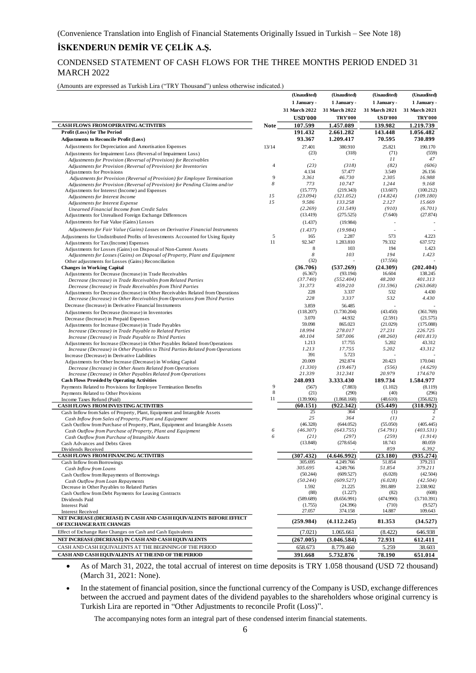# CONDENSED STATEMENT OF CASH FLOWS FOR THE THREE MONTHS PERIOD ENDED 31 MARCH 2022

(Amounts are expressed as Turkish Lira ("TRY Thousand") unless otherwise indicated.)

|                                                                                                               |                | (Unaudited)       | (Unaudited)          | (Unaudited)       | (Unaudited)         |
|---------------------------------------------------------------------------------------------------------------|----------------|-------------------|----------------------|-------------------|---------------------|
|                                                                                                               |                | 1 January -       | 1 January -          | 1 January -       | 1 January -         |
|                                                                                                               |                | 31 March 2022     | 31 March 2022        | 31 March 2021     | 31 March 2021       |
|                                                                                                               |                | <b>USD'000</b>    | <b>TRY'000</b>       | <b>USD'000</b>    | <b>TRY'000</b>      |
| <b>CASHFLOWS FROM OPERATING ACTIVITIES</b>                                                                    | <b>Note</b>    | 107.599           | 1.457.089            | 139.982           | 1.219.739           |
| Profit (Loss) for The Period                                                                                  |                | 191.432           | 2.661.282            | 143.448           | 1.056.482           |
| <b>Adjustments to Reconcile Profit (Loss)</b>                                                                 |                | 93.367            | 1.209.417            | 70.595            | 730.899             |
| Adjustments for Depreciation and Amortisation Expenses                                                        | 13/14          | 27.401            | 380.910              | 25.821            | 190.170             |
| Adjustments for Impairment Loss (Reversal of Impairment Loss)                                                 |                | (23)              | (318)                | (71)              | (559)               |
| Adjustments for Provision (Reversal of Provision) for Receivables                                             |                |                   |                      | 11                | 47                  |
| Adjustments for Provision (Reversal of Provision) for Inventories                                             | $\overline{4}$ | (23)              | (318)                | (82)              | (606)               |
| Adjustments for Provisions                                                                                    |                | 4.134             | 57.477               | 3.549             | 26.156              |
| Adjustments for Provision (Reversal of Provision) for Employee Termination                                    | 9              | 3.361             | 46.730               | 2.305             | 16.988              |
| Adjustments for Provision (Reversal of Provision) for Pending Claims and/or                                   | 8              | 773               | 10.747               | 1.244             | 9.168               |
| Adjustments for Interest (Income) and Expenses                                                                |                | (15.777)          | (219.343)            | (13.607)          | (100.212)           |
| Adjustments for Interest Income                                                                               | 15<br>15       | (23.094)<br>9.586 | (321.052)<br>133.258 | (14.824)<br>2.127 | (109.180)<br>15.669 |
| Adjustments for Interest Expense<br>Unearned Financial Income from Credit Sales                               |                | (2.269)           | (31.549)             | (910)             | (6.701)             |
| Adjustments for Unrealised Foreign Exchange Differences                                                       |                | (13.419)          | (275.525)            | (7.640)           | (27.874)            |
| Adjustments for Fair Value (Gains) Losses                                                                     |                | (1.437)           | (19.984)             |                   |                     |
|                                                                                                               |                |                   |                      |                   |                     |
| Adjustments for Fair Value (Gains) Losses on Derivative Financial Instruments                                 | 5              | (1.437)<br>165    | (19.984)<br>2.287    | 573               | 4.223               |
| Adjustments for Undistributed Profits of Investments Accounted for Using Equity                               | 11             | 92.347            | 1.283.810            | 79.332            | 637.572             |
| Adjustments for Tax (Income) Expenses<br>Adjustments for Losses (Gains) on Disposal of Non-Current Assets     |                | 8                 | 103                  | 194               | 1.423               |
| Adjustments for Losses (Gains) on Disposal of Property, Plant and Equipment                                   |                | 8                 | 103                  | 194               | 1.423               |
| Other adjustments for Losses (Gains) Reconciliation                                                           |                | (32)              |                      | (17.556)          |                     |
| <b>Changes in Working Capital</b>                                                                             |                | (36.706)          | (537.269)            | (24.309)          | (202.404)           |
| Adjustments for Decrease (Increase) in Trade Receivables                                                      |                | (6.367)           | (93.194)             | 16.604            | 138.245             |
| Decrease (Increase) in Trade Receivables from Related Parties                                                 |                | (37.740)          | (552.404)            | 48.200            | 401.313             |
| Decrease (Increase) in Trade Receivables from Third Parties                                                   |                | 31.373            | 459.210              | (31.596)          | (263.068)           |
| Adjustments for Decrease (Increase) in Other Receivables Related from Operations                              |                | 228               | 3.337                | 532               | 4.430               |
| Decrease (Increase) in Other Receivables from Operations from Third Parties                                   |                | 228               | 3.337                | 532               | 4.430               |
| Decrease (Increase) in Derivative Financial Instruments                                                       |                | 3.859             | 56.485               |                   |                     |
| Adjustments for Decrease (Increase) in Inventories                                                            |                | (118.207)         | (1.730.204)          | (43.450)          | (361.769)           |
| Decrease (Increase) in Prepaid Expenses                                                                       |                | 3.070             | 44.932               | (2.591)           | (21.575)            |
| Adjustments for Increase (Decrease) in Trade Payables                                                         |                | 59.098            | 865.023              | (21.029)          | (175.088)           |
| Increase (Decrease) in Trade Payable to Related Parties                                                       |                | 18.994            | 278.017              | 27.231            | 226.725             |
| Increase (Decrease) in Trade Payable to Third Parties                                                         |                | 40.104            | 587.006              | (48.260)          | (401.813)           |
| Adjustments for Increase (Decrease) in Other Payables Related from Operations                                 |                | 1.213<br>1.213    | 17.755<br>17.755     | 5.202<br>5.202    | 43.312<br>43.312    |
| Increase (Decrease) in Other Payables to Third Parties Related from Operations                                |                | 391               | 5.723                |                   |                     |
| Increase (Decrease) in Derivative Liabilities<br>Adjustments for Other Increase (Decrease) in Working Capital |                | 20.009            | 292.874              | 20.423            | 170.041             |
| Decrease (Increase) in Other Assets Related from Operations                                                   |                | (1.330)           | (19.467)             | (556)             | (4.629)             |
| Increase (Decrease) in Other Payables Related from Operations                                                 |                | 21.339            | 312.341              | 20.979            | 174.670             |
| <b>Cash Flows Provided by Operating Activities</b>                                                            |                | 248.093           | 3.333.430            | 189.734           | 1.584.977           |
| Payments Related to Provisions for Employee Termination Benefits                                              | 9              | (567)             | (7.883)              | (1.102)           | (8.119)             |
| Payments Related to Other Provisions                                                                          | 8              | (21)              | (290)                | (40)              | (296)               |
| Income Taxes Refund (Paid)                                                                                    | 11             | (139.906)         | (1.868.168)          | (48.610)          | (356.823)           |
| <b>CASH FLOWS FROM INVESTING ACTIVITIES</b>                                                                   |                | (60.151)          | (922.342)            | (35.449)          | (318.992)           |
| Cash Inflow from Sales of Property, Plant, Equipment and Intangible Assets                                    |                | 25                | 364                  | (1)               | 2                   |
| Cash Inflow from Sales of Property, Plant and Equipment                                                       |                | 25                | 364                  | (1)               | 2                   |
| Cash Outflow from Purchase of Property, Plant, Equipment and Intangible Assets                                |                | (46.328)          | (644.052)            | (55.050)          | (405.445)           |
| Cash Outflow from Purchase of Property, Plant and Equipment                                                   | 6              | (46.307)          | (643.755)            | (54.791)          | (403.531)           |
| Cash Outflow from Purchase of Intangible Assets                                                               | 6              | (21)              | (297)                | (259)             | (1.914)             |
| Cash Advances and Debts Given                                                                                 |                | (13.848)          | (278.654)            | 18.743<br>859     | 80.059<br>6.392     |
| Dividends Received<br>CASH FLOWS FROM FINANCING ACTIVITIES                                                    |                | (307.432)         | (4.646.992)          | (23.180)          | (935.274)           |
| Cash Inflow from Borrowings                                                                                   |                | 305.695           | 4.249.766            | 51.854            | 379.211             |
| Cash Inflow from Loans                                                                                        |                | 305.695           | 4.249.766            | 51.854            | 379.211             |
| Cash Outflow from Repayments of Borrowings                                                                    |                | (50.244)          | (609.527)            | (6.028)           | (42.504)            |
| Cash Outflow from Loan Repayments                                                                             |                | (50.244)          | (609.527)            | (6.028)           | (42.504)            |
| Decrease in Other Payables to Related Parties                                                                 |                | 1.592             | 21.225               | 391.889           | 2.338.902           |
| Cash Outflow from Debt Payments for Leasing Contracts                                                         |                | (88)              | (1.227)              | (82)              | (608)               |
| Dividends Paid                                                                                                |                | (589.689)         | (8.656.991)          | (474.990)         | (3.710.391)         |
| <b>Interest Paid</b>                                                                                          |                | (1.755)           | (24.396)             | (710)             | (9.527)             |
| <b>Interest Received</b>                                                                                      |                | 27.057            | 374.158              | 14.887            | 109.643             |
| NET INCREASE (DECREASE) IN CASH AND CASH EQUIVALENTS BEFORE EFFECT<br>OF EXCHANGE RATE CHANGES                |                | (259.984)         | (4.112.245)          | 81.353            | (34.527)            |
| Effect of Exchange Rate Changes on Cash and Cash Equivalents                                                  |                | (7.021)           | 1.065.661            | (8.422)           | 646.938             |
| NET INCREASE (DECREASE) IN CASH AND CASH EQUIVALENTS                                                          |                | (267.005)         | (3.046.584)          | 72.931            | 612.411             |
| CASH AND CASH EQUIVALENTS AT THE BEGINNING OF THE PERIOD                                                      |                | 658.673           | 8.779.460            | 5.259             | 38.603              |
| CASH AND CASH EQUIVALENTS AT THE END OF THE PERIOD                                                            |                | 391.668           | 5.732.876            | 78.190            | 651.014             |
|                                                                                                               |                |                   |                      |                   |                     |

• As of March 31, 2022, the total accrual of interest on time deposits is TRY 1.058 thousand (USD 72 thousand) (March 31, 2021: None).

• In the statement of financial position, since the functional currency of the Company is USD, exchange differences between the accrued and payment dates of the dividend payables to the shareholders whose original currency is Turkish Lira are reported in "Other Adjustments to reconcile Profit (Loss)".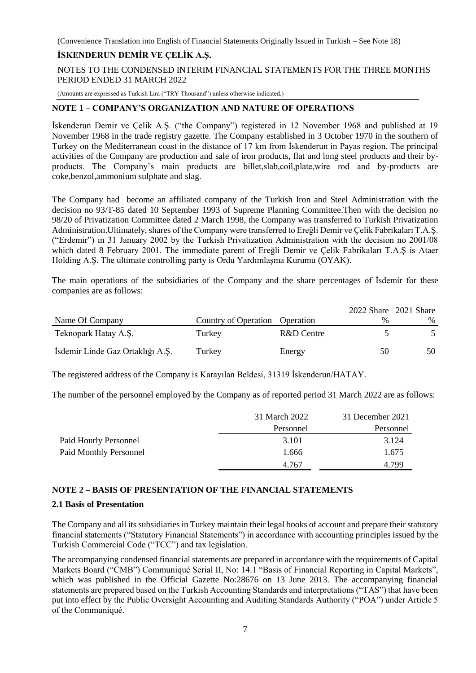# **İSKENDERUN DEMİR VE ÇELİK A.Ş.**

NOTES TO THE CONDENSED INTERIM FINANCIAL STATEMENTS FOR THE THREE MONTHS PERIOD ENDED 31 MARCH 2022

(Amounts are expressed as Turkish Lira ("TRY Thousand") unless otherwise indicated.)

# **NOTE 1 – COMPANY'S ORGANIZATION AND NATURE OF OPERATIONS**

İskenderun Demir ve Çelik A.Ş. ("the Company") registered in 12 November 1968 and published at 19 November 1968 in the trade registry gazette. The Company established in 3 October 1970 in the southern of Turkey on the Mediterranean coast in the distance of 17 km from İskenderun in Payas region. The principal activities of the Company are production and sale of iron products, flat and long steel products and their byproducts. The Company's main products are billet,slab,coil,plate,wire rod and by-products are coke,benzol,ammonium sulphate and slag.

The Company had become an affiliated company of the Turkish Iron and Steel Administration with the decision no 93/T-85 dated 10 September 1993 of Supreme Planning Committee.Then with the decision no 98/20 of Privatization Committee dated 2 March 1998, the Company was transferred to Turkish Privatization Administration.Ultimately, shares of the Company were transferred to Ereğli Demir ve Çelik Fabrikaları T.A.Ş. ("Erdemir") in 31 January 2002 by the Turkish Privatization Administration with the decision no 2001/08 which dated 8 February 2001. The immediate parent of Ereğli Demir ve Çelik Fabrikaları T.A.Ş is Ataer Holding A.Ş. The ultimate controlling party is Ordu Yardımlaşma Kurumu (OYAK).

The main operations of the subsidiaries of the Company and the share percentages of İsdemir for these companies are as follows:

|                                  |                      |            |      | 2022 Share 2021 Share |
|----------------------------------|----------------------|------------|------|-----------------------|
| Name Of Company                  | Country of Operation | Operation  | $\%$ | $\%$                  |
| Teknopark Hatay A.S.             | Turkey               | R&D Centre |      |                       |
| Isdemir Linde Gaz Ortaklığı A.Ş. | Turkey               | Energy     | 50   | 50                    |

The registered address of the Company is Karayılan Beldesi, 31319 İskenderun/HATAY.

The number of the personnel employed by the Company as of reported period 31 March 2022 are as follows:

|                               | 31 March 2022 | 31 December 2021 |
|-------------------------------|---------------|------------------|
|                               | Personnel     | Personnel        |
| Paid Hourly Personnel         | 3.101         | 3.124            |
| <b>Paid Monthly Personnel</b> | 1.666         | 1.675            |
|                               | 4.767         | 4.799            |

# **NOTE 2 – BASIS OF PRESENTATION OF THE FINANCIAL STATEMENTS**

# **2.1 Basis of Presentation**

The Company and all its subsidiaries in Turkey maintain their legal books of account and prepare their statutory financial statements ("Statutory Financial Statements") in accordance with accounting principles issued by the Turkish Commercial Code ("TCC") and tax legislation.

The accompanying condensed financial statements are prepared in accordance with the requirements of Capital Markets Board ("CMB") Communiqué Serial II, No: 14.1 "Basis of Financial Reporting in Capital Markets", which was published in the Official Gazette No:28676 on 13 June 2013. The accompanying financial statements are prepared based on the Turkish Accounting Standards and interpretations ("TAS") that have been put into effect by the Public Oversight Accounting and Auditing Standards Authority ("POA") under Article 5 of the Communiqué.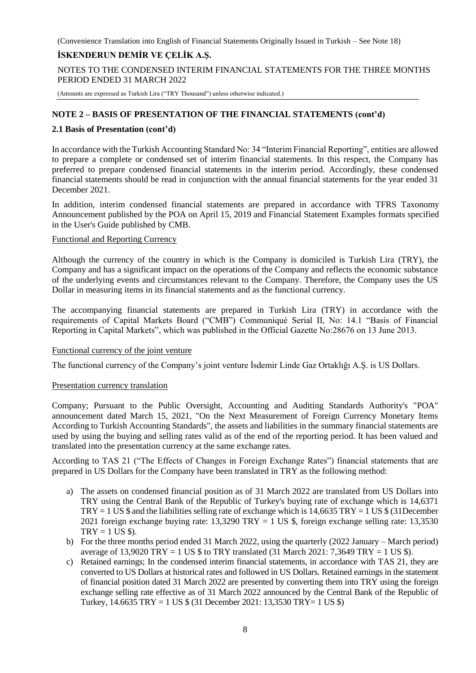# **İSKENDERUN DEMİR VE ÇELİK A.Ş.**

NOTES TO THE CONDENSED INTERIM FINANCIAL STATEMENTS FOR THE THREE MONTHS PERIOD ENDED 31 MARCH 2022

(Amounts are expressed as Turkish Lira ("TRY Thousand") unless otherwise indicated.)

# **NOTE 2 – BASIS OF PRESENTATION OF THE FINANCIAL STATEMENTS (cont'd)**

# **2.1 Basis of Presentation (cont'd)**

In accordance with the Turkish Accounting Standard No: 34 "Interim Financial Reporting", entities are allowed to prepare a complete or condensed set of interim financial statements. In this respect, the Company has preferred to prepare condensed financial statements in the interim period. Accordingly, these condensed financial statements should be read in conjunction with the annual financial statements for the year ended 31 December 2021.

In addition, interim condensed financial statements are prepared in accordance with TFRS Taxonomy Announcement published by the POA on April 15, 2019 and Financial Statement Examples formats specified in the User's Guide published by CMB.

# Functional and Reporting Currency

Although the currency of the country in which is the Company is domiciled is Turkish Lira (TRY), the Company and has a significant impact on the operations of the Company and reflects the economic substance of the underlying events and circumstances relevant to the Company. Therefore, the Company uses the US Dollar in measuring items in its financial statements and as the functional currency.

The accompanying financial statements are prepared in Turkish Lira (TRY) in accordance with the requirements of Capital Markets Board ("CMB") Communiqué Serial II, No: 14.1 "Basis of Financial Reporting in Capital Markets", which was published in the Official Gazette No:28676 on 13 June 2013.

# Functional currency of the joint venture

The functional currency of the Company's joint venture İsdemir Linde Gaz Ortaklığı A.Ş. is US Dollars.

# Presentation currency translation

Company; Pursuant to the Public Oversight, Accounting and Auditing Standards Authority's "POA" announcement dated March 15, 2021, "On the Next Measurement of Foreign Currency Monetary Items According to Turkish Accounting Standards", the assets and liabilities in the summary financial statements are used by using the buying and selling rates valid as of the end of the reporting period. It has been valued and translated into the presentation currency at the same exchange rates.

According to TAS 21 ("The Effects of Changes in Foreign Exchange Rates") financial statements that are prepared in US Dollars for the Company have been translated in TRY as the following method:

- a) The assets on condensed financial position as of 31 March 2022 are translated from US Dollars into TRY using the Central Bank of the Republic of Turkey's buying rate of exchange which is 14,6371  $TRY = 1 US $$  and the liabilities selling rate of exchange which is 14,6635 TRY = 1 US  $$ (31 December)$ 2021 foreign exchange buying rate: 13,3290 TRY = 1 US \$, foreign exchange selling rate: 13,3530  $TRY = 1 US $$ .
- b) For the three months period ended 31 March 2022, using the quarterly (2022 January March period) average of 13,9020 TRY = 1 US  $$$  to TRY translated (31 March 2021: 7,3649 TRY = 1 US  $$$ ).
- c) Retained earnings; In the condensed interim financial statements, in accordance with TAS 21, they are converted to US Dollars at historical rates and followed in US Dollars. Retained earnings in the statement of financial position dated 31 March 2022 are presented by converting them into TRY using the foreign exchange selling rate effective as of 31 March 2022 announced by the Central Bank of the Republic of Turkey, 14.6635 TRY = 1 US \$ (31 December 2021: 13,3530 TRY= 1 US \$)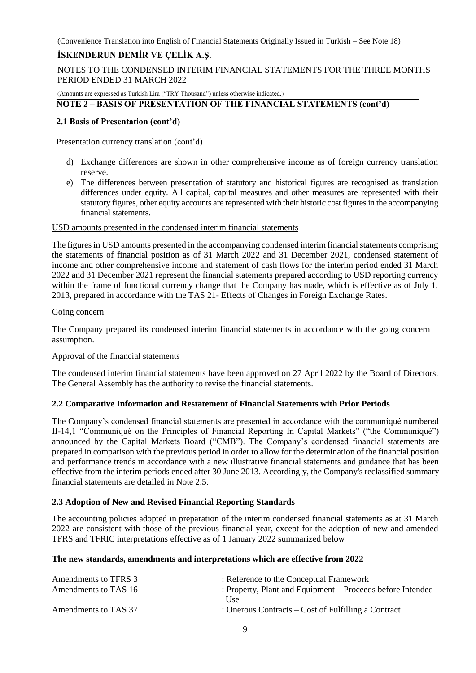# **İSKENDERUN DEMİR VE ÇELİK A.Ş.**

NOTES TO THE CONDENSED INTERIM FINANCIAL STATEMENTS FOR THE THREE MONTHS PERIOD ENDED 31 MARCH 2022

(Amounts are expressed as Turkish Lira ("TRY Thousand") unless otherwise indicated.)

# **NOTE 2 – BASIS OF PRESENTATION OF THE FINANCIAL STATEMENTS (cont'd)**

# **2.1 Basis of Presentation (cont'd)**

#### Presentation currency translation (cont'd)

- d) Exchange differences are shown in other comprehensive income as of foreign currency translation reserve.
- e) The differences between presentation of statutory and historical figures are recognised as translation differences under equity. All capital, capital measures and other measures are represented with their statutory figures, other equity accounts are represented with their historic cost figures in the accompanying financial statements.

#### USD amounts presented in the condensed interim financial statements

The figures in USD amounts presented in the accompanying condensed interim financial statements comprising the statements of financial position as of 31 March 2022 and 31 December 2021, condensed statement of income and other comprehensive income and statement of cash flows for the interim period ended 31 March 2022 and 31 December 2021 represent the financial statements prepared according to USD reporting currency within the frame of functional currency change that the Company has made, which is effective as of July 1, 2013, prepared in accordance with the TAS 21- Effects of Changes in Foreign Exchange Rates.

#### Going concern

The Company prepared its condensed interim financial statements in accordance with the going concern assumption.

# Approval of the financial statements

The condensed interim financial statements have been approved on 27 April 2022 by the Board of Directors. The General Assembly has the authority to revise the financial statements.

# **2.2 Comparative Information and Restatement of Financial Statements with Prior Periods**

The Company's condensed financial statements are presented in accordance with the communiqué numbered II-14,1 "Communiqué on the Principles of Financial Reporting In Capital Markets" ("the Communiqué") announced by the Capital Markets Board ("CMB"). The Company's condensed financial statements are prepared in comparison with the previous period in order to allow for the determination of the financial position and performance trends in accordance with a new illustrative financial statements and guidance that has been effective from the interim periods ended after 30 June 2013. Accordingly, the Company's reclassified summary financial statements are detailed in Note 2.5.

# **2.3 Adoption of New and Revised Financial Reporting Standards**

The accounting policies adopted in preparation of the interim condensed financial statements as at 31 March 2022 are consistent with those of the previous financial year, except for the adoption of new and amended TFRS and TFRIC interpretations effective as of 1 January 2022 summarized below

# **The new standards, amendments and interpretations which are effective from 2022**

| Amendments to TFRS 3 | : Reference to the Conceptual Framework                    |
|----------------------|------------------------------------------------------------|
| Amendments to TAS 16 | : Property, Plant and Equipment – Proceeds before Intended |
|                      | Use.                                                       |
| Amendments to TAS 37 | : Onerous Contracts $-$ Cost of Fulfilling a Contract      |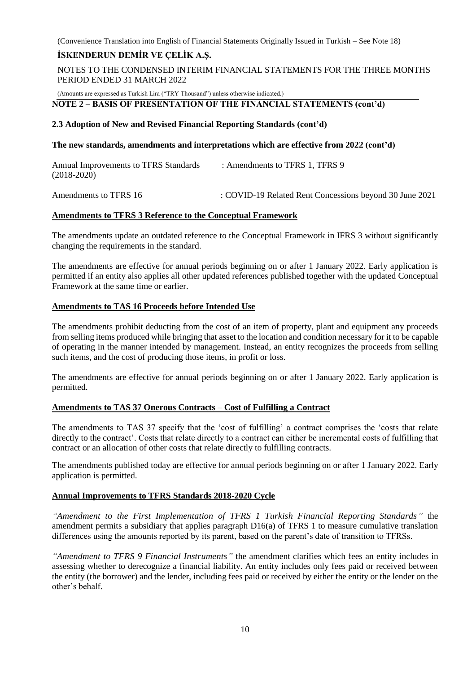# **İSKENDERUN DEMİR VE ÇELİK A.Ş.**

NOTES TO THE CONDENSED INTERIM FINANCIAL STATEMENTS FOR THE THREE MONTHS PERIOD ENDED 31 MARCH 2022

(Amounts are expressed as Turkish Lira ("TRY Thousand") unless otherwise indicated.)

#### **NOTE 2 – BASIS OF PRESENTATION OF THE FINANCIAL STATEMENTS (cont'd)**

#### **2.3 Adoption of New and Revised Financial Reporting Standards (cont'd)**

#### **The new standards, amendments and interpretations which are effective from 2022 (cont'd)**

Annual Improvements to TFRS Standards : Amendments to TFRS 1, TFRS 9 (2018-2020)

Amendments to TFRS 16: COVID-19 Related Rent Concessions beyond 30 June 2021

# **Amendments to TFRS 3 Reference to the Conceptual Framework**

The amendments update an outdated reference to the Conceptual Framework in IFRS 3 without significantly changing the requirements in the standard.

The amendments are effective for annual periods beginning on or after 1 January 2022. Early application is permitted if an entity also applies all other updated references published together with the updated Conceptual Framework at the same time or earlier.

# **Amendments to TAS 16 Proceeds before Intended Use**

The amendments prohibit deducting from the cost of an item of property, plant and equipment any proceeds from selling items produced while bringing that asset to the location and condition necessary for it to be capable of operating in the manner intended by management. Instead, an entity recognizes the proceeds from selling such items, and the cost of producing those items, in profit or loss.

The amendments are effective for annual periods beginning on or after 1 January 2022. Early application is permitted.

# **Amendments to TAS 37 Onerous Contracts – Cost of Fulfilling a Contract**

The amendments to TAS 37 specify that the 'cost of fulfilling' a contract comprises the 'costs that relate directly to the contract'. Costs that relate directly to a contract can either be incremental costs of fulfilling that contract or an allocation of other costs that relate directly to fulfilling contracts.

The amendments published today are effective for annual periods beginning on or after 1 January 2022. Early application is permitted.

# **Annual Improvements to TFRS Standards 2018-2020 Cycle**

*"Amendment to the First Implementation of TFRS 1 Turkish Financial Reporting Standards"* the amendment permits a subsidiary that applies paragraph D16(a) of TFRS 1 to measure cumulative translation differences using the amounts reported by its parent, based on the parent's date of transition to TFRSs.

*"Amendment to TFRS 9 Financial Instruments"* the amendment clarifies which fees an entity includes in assessing whether to derecognize a financial liability. An entity includes only fees paid or received between the entity (the borrower) and the lender, including fees paid or received by either the entity or the lender on the other's behalf.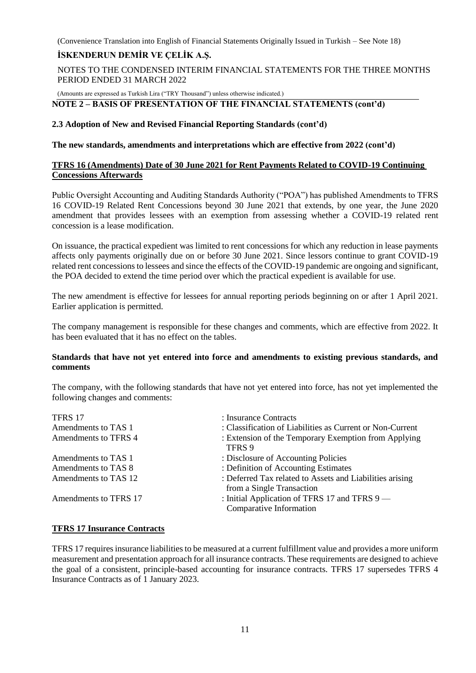# **İSKENDERUN DEMİR VE ÇELİK A.Ş.**

NOTES TO THE CONDENSED INTERIM FINANCIAL STATEMENTS FOR THE THREE MONTHS PERIOD ENDED 31 MARCH 2022

(Amounts are expressed as Turkish Lira ("TRY Thousand") unless otherwise indicated.)

# **NOTE 2 – BASIS OF PRESENTATION OF THE FINANCIAL STATEMENTS (cont'd)**

# **2.3 Adoption of New and Revised Financial Reporting Standards (cont'd)**

# **The new standards, amendments and interpretations which are effective from 2022 (cont'd)**

# **TFRS 16 (Amendments) Date of 30 June 2021 for Rent Payments Related to COVID-19 Continuing Concessions Afterwards**

Public Oversight Accounting and Auditing Standards Authority ("POA") has published Amendments to TFRS 16 COVID-19 Related Rent Concessions beyond 30 June 2021 that extends, by one year, the June 2020 amendment that provides lessees with an exemption from assessing whether a COVID-19 related rent concession is a lease modification.

On issuance, the practical expedient was limited to rent concessions for which any reduction in lease payments affects only payments originally due on or before 30 June 2021. Since lessors continue to grant COVID-19 related rent concessions to lessees and since the effects of the COVID-19 pandemic are ongoing and significant, the POA decided to extend the time period over which the practical expedient is available for use.

The new amendment is effective for lessees for annual reporting periods beginning on or after 1 April 2021. Earlier application is permitted.

The company management is responsible for these changes and comments, which are effective from 2022. It has been evaluated that it has no effect on the tables.

# **Standards that have not yet entered into force and amendments to existing previous standards, and comments**

The company, with the following standards that have not yet entered into force, has not yet implemented the following changes and comments:

| TFRS 17               | : Insurance Contracts                                                                 |
|-----------------------|---------------------------------------------------------------------------------------|
| Amendments to TAS 1   | : Classification of Liabilities as Current or Non-Current                             |
| Amendments to TFRS 4  | : Extension of the Temporary Exemption from Applying<br>TFRS 9                        |
| Amendments to TAS 1   | : Disclosure of Accounting Policies                                                   |
| Amendments to TAS 8   | : Definition of Accounting Estimates                                                  |
| Amendments to TAS 12  | : Deferred Tax related to Assets and Liabilities arising<br>from a Single Transaction |
| Amendments to TFRS 17 | : Initial Application of TFRS 17 and TFRS $9$ —<br>Comparative Information            |

# **TFRS 17 Insurance Contracts**

TFRS 17 requires insurance liabilities to be measured at a current fulfillment value and provides a more uniform measurement and presentation approach for all insurance contracts. These requirements are designed to achieve the goal of a consistent, principle-based accounting for insurance contracts. TFRS 17 supersedes TFRS 4 Insurance Contracts as of 1 January 2023.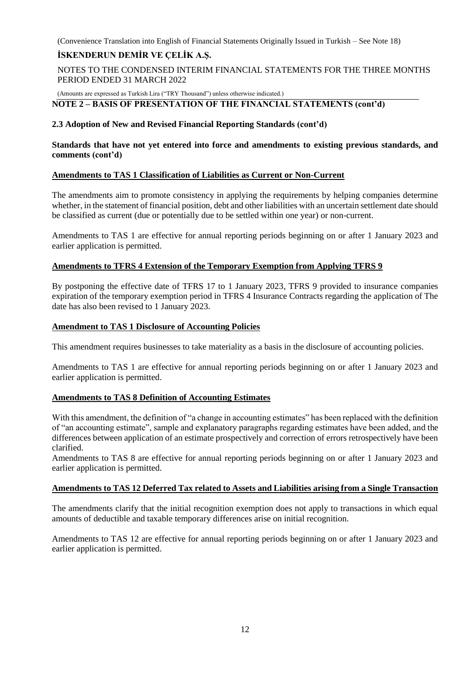# **İSKENDERUN DEMİR VE ÇELİK A.Ş.**

NOTES TO THE CONDENSED INTERIM FINANCIAL STATEMENTS FOR THE THREE MONTHS PERIOD ENDED 31 MARCH 2022

(Amounts are expressed as Turkish Lira ("TRY Thousand") unless otherwise indicated.)

# **NOTE 2 – BASIS OF PRESENTATION OF THE FINANCIAL STATEMENTS (cont'd)**

# **2.3 Adoption of New and Revised Financial Reporting Standards (cont'd)**

# **Standards that have not yet entered into force and amendments to existing previous standards, and comments (cont'd)**

# **Amendments to TAS 1 Classification of Liabilities as Current or Non-Current**

The amendments aim to promote consistency in applying the requirements by helping companies determine whether, in the statement of financial position, debt and other liabilities with an uncertain settlement date should be classified as current (due or potentially due to be settled within one year) or non-current.

Amendments to TAS 1 are effective for annual reporting periods beginning on or after 1 January 2023 and earlier application is permitted.

# **Amendments to TFRS 4 Extension of the Temporary Exemption from Applying TFRS 9**

By postponing the effective date of TFRS 17 to 1 January 2023, TFRS 9 provided to insurance companies expiration of the temporary exemption period in TFRS 4 Insurance Contracts regarding the application of The date has also been revised to 1 January 2023.

# **Amendment to TAS 1 Disclosure of Accounting Policies**

This amendment requires businesses to take materiality as a basis in the disclosure of accounting policies.

Amendments to TAS 1 are effective for annual reporting periods beginning on or after 1 January 2023 and earlier application is permitted.

# **Amendments to TAS 8 Definition of Accounting Estimates**

With this amendment, the definition of "a change in accounting estimates" has been replaced with the definition of "an accounting estimate", sample and explanatory paragraphs regarding estimates have been added, and the differences between application of an estimate prospectively and correction of errors retrospectively have been clarified.

Amendments to TAS 8 are effective for annual reporting periods beginning on or after 1 January 2023 and earlier application is permitted.

# **Amendments to TAS 12 Deferred Tax related to Assets and Liabilities arising from a Single Transaction**

The amendments clarify that the initial recognition exemption does not apply to transactions in which equal amounts of deductible and taxable temporary differences arise on initial recognition.

Amendments to TAS 12 are effective for annual reporting periods beginning on or after 1 January 2023 and earlier application is permitted.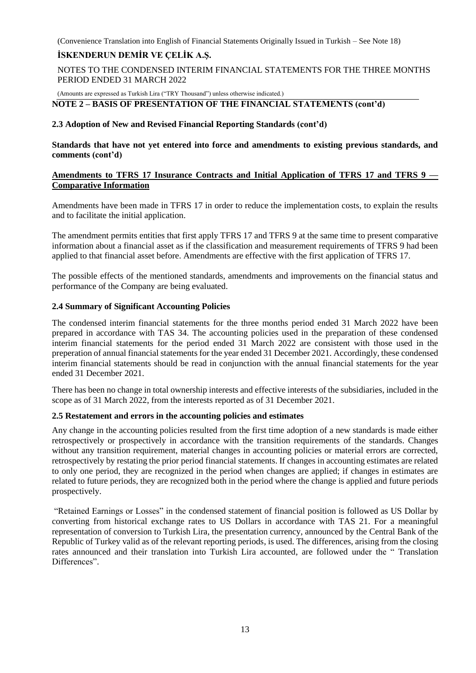# **İSKENDERUN DEMİR VE ÇELİK A.Ş.**

NOTES TO THE CONDENSED INTERIM FINANCIAL STATEMENTS FOR THE THREE MONTHS PERIOD ENDED 31 MARCH 2022

(Amounts are expressed as Turkish Lira ("TRY Thousand") unless otherwise indicated.)

# **NOTE 2 – BASIS OF PRESENTATION OF THE FINANCIAL STATEMENTS (cont'd)**

# **2.3 Adoption of New and Revised Financial Reporting Standards (cont'd)**

**Standards that have not yet entered into force and amendments to existing previous standards, and comments (cont'd)**

# **Amendments to TFRS 17 Insurance Contracts and Initial Application of TFRS 17 and TFRS 9 — Comparative Information**

Amendments have been made in TFRS 17 in order to reduce the implementation costs, to explain the results and to facilitate the initial application.

The amendment permits entities that first apply TFRS 17 and TFRS 9 at the same time to present comparative information about a financial asset as if the classification and measurement requirements of TFRS 9 had been applied to that financial asset before. Amendments are effective with the first application of TFRS 17.

The possible effects of the mentioned standards, amendments and improvements on the financial status and performance of the Company are being evaluated.

# **2.4 Summary of Significant Accounting Policies**

The condensed interim financial statements for the three months period ended 31 March 2022 have been prepared in accordance with TAS 34. The accounting policies used in the preparation of these condensed interim financial statements for the period ended 31 March 2022 are consistent with those used in the preperation of annual financial statements for the year ended 31 December 2021. Accordingly, these condensed interim financial statements should be read in conjunction with the annual financial statements for the year ended 31 December 2021.

There has been no change in total ownership interests and effective interests of the subsidiaries, included in the scope as of 31 March 2022, from the interests reported as of 31 December 2021.

# **2.5 Restatement and errors in the accounting policies and estimates**

Any change in the accounting policies resulted from the first time adoption of a new standards is made either retrospectively or prospectively in accordance with the transition requirements of the standards. Changes without any transition requirement, material changes in accounting policies or material errors are corrected, retrospectively by restating the prior period financial statements. If changes in accounting estimates are related to only one period, they are recognized in the period when changes are applied; if changes in estimates are related to future periods, they are recognized both in the period where the change is applied and future periods prospectively.

"Retained Earnings or Losses" in the condensed statement of financial position is followed as US Dollar by converting from historical exchange rates to US Dollars in accordance with TAS 21. For a meaningful representation of conversion to Turkish Lira, the presentation currency, announced by the Central Bank of the Republic of Turkey valid as of the relevant reporting periods, is used. The differences, arising from the closing rates announced and their translation into Turkish Lira accounted, are followed under the " Translation Differences".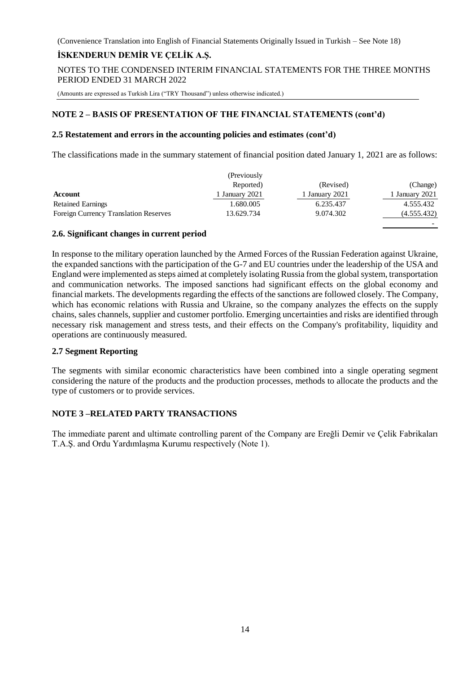# **İSKENDERUN DEMİR VE ÇELİK A.Ş.**

NOTES TO THE CONDENSED INTERIM FINANCIAL STATEMENTS FOR THE THREE MONTHS PERIOD ENDED 31 MARCH 2022

(Amounts are expressed as Turkish Lira ("TRY Thousand") unless otherwise indicated.)

# **NOTE 2 – BASIS OF PRESENTATION OF THE FINANCIAL STATEMENTS (cont'd)**

#### **2.5 Restatement and errors in the accounting policies and estimates (cont'd)**

The classifications made in the summary statement of financial position dated January 1, 2021 are as follows:

|                                              | (Previously)   |                |                |
|----------------------------------------------|----------------|----------------|----------------|
|                                              | Reported)      | (Revised)      | (Change)       |
| Account                                      | 1 January 2021 | ' January 2021 | 1 January 2021 |
| <b>Retained Earnings</b>                     | 1.680.005      | 6.235.437      | 4.555.432      |
| <b>Foreign Currency Translation Reserves</b> | 13.629.734     | 9.074.302      | (4.555.432)    |
|                                              |                |                |                |

#### **2.6. Significant changes in current period**

In response to the military operation launched by the Armed Forces of the Russian Federation against Ukraine, the expanded sanctions with the participation of the G-7 and EU countries under the leadership of the USA and England were implemented as steps aimed at completely isolating Russia from the global system, transportation and communication networks. The imposed sanctions had significant effects on the global economy and financial markets. The developments regarding the effects of the sanctions are followed closely. The Company, which has economic relations with Russia and Ukraine, so the company analyzes the effects on the supply chains, sales channels, supplier and customer portfolio. Emerging uncertainties and risks are identified through necessary risk management and stress tests, and their effects on the Company's profitability, liquidity and operations are continuously measured.

# **2.7 Segment Reporting**

The segments with similar economic characteristics have been combined into a single operating segment considering the nature of the products and the production processes, methods to allocate the products and the type of customers or to provide services.

# **NOTE 3 –RELATED PARTY TRANSACTIONS**

The immediate parent and ultimate controlling parent of the Company are Ereğli Demir ve Çelik Fabrikaları T.A.Ş. and Ordu Yardımlaşma Kurumu respectively (Note 1).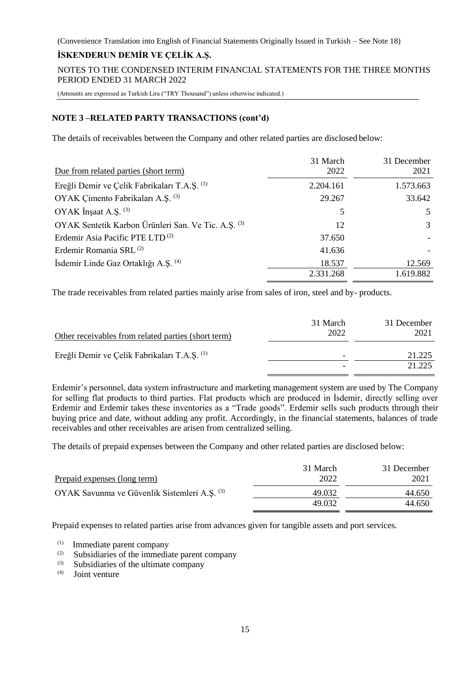# **İSKENDERUN DEMİR VE ÇELİK A.Ş.**

NOTES TO THE CONDENSED INTERIM FINANCIAL STATEMENTS FOR THE THREE MONTHS PERIOD ENDED 31 MARCH 2022

(Amounts are expressed as Turkish Lira ("TRY Thousand") unless otherwise indicated.)

# **NOTE 3 –RELATED PARTY TRANSACTIONS (cont'd)**

The details of receivables between the Company and other related parties are disclosed below:

| Due from related parties (short term)               | 31 March<br>2022 | 31 December<br>2021 |
|-----------------------------------------------------|------------------|---------------------|
| Ereğli Demir ve Çelik Fabrikaları T.A.Ş. (1)        | 2.204.161        | 1.573.663           |
| OYAK Çimento Fabrikaları A.Ş. (3)                   | 29.267           | 33.642              |
| OYAK Insaat A.S. (3)                                | 5                | 5                   |
| OYAK Sentetik Karbon Ürünleri San. Ve Tic. A.Ş. (3) | 12               | 3                   |
| Erdemir Asia Pacific PTE LTD <sup>(2)</sup>         | 37.650           |                     |
| Erdemir Romania SRL <sup>(2)</sup>                  | 41.636           |                     |
| İsdemir Linde Gaz Ortaklığı A.Ş. (4)                | 18.537           | 12.569              |
|                                                     | 2.331.268        | 1.619.882           |

The trade receivables from related parties mainly arise from sales of iron, steel and by- products.

| Other receivables from related parties (short term)     | 31 March<br>2022 | 31 December<br>2021 |
|---------------------------------------------------------|------------------|---------------------|
| Ereğli Demir ve Çelik Fabrikaları T.A.Ş. <sup>(1)</sup> | -                | 21.225<br>21.225    |
|                                                         |                  |                     |

Erdemir's personnel, data system infrastructure and marketing management system are used by The Company for selling flat products to third parties. Flat products which are produced in İsdemir, directly selling over Erdemir and Erdemir takes these inventories as a "Trade goods". Erdemir sells such products through their buying price and date, without adding any profit. Accordingly, in the financial statements, balances of trade receivables and other receivables are arisen from centralized selling.

The details of prepaid expenses between the Company and other related parties are disclosed below:

| Prepaid expenses (long term)                            | 31 March<br>2022 | 31 December<br>2021 |
|---------------------------------------------------------|------------------|---------------------|
| OYAK Savunma ve Güvenlik Sistemleri A.S. <sup>(3)</sup> | 49.032<br>49.032 | 44.650<br>44.650    |

Prepaid expenses to related parties arise from advances given for tangible assets and port services.

- $\frac{1}{2}$  Immediate parent company<br> $\frac{1}{2}$  Subsidiaries of the immedia
- (2) Subsidiaries of the immediate parent company<br>  $(3)$  Subsidiaries of the ultimate company
- Subsidiaries of the ultimate company
- (4) Joint venture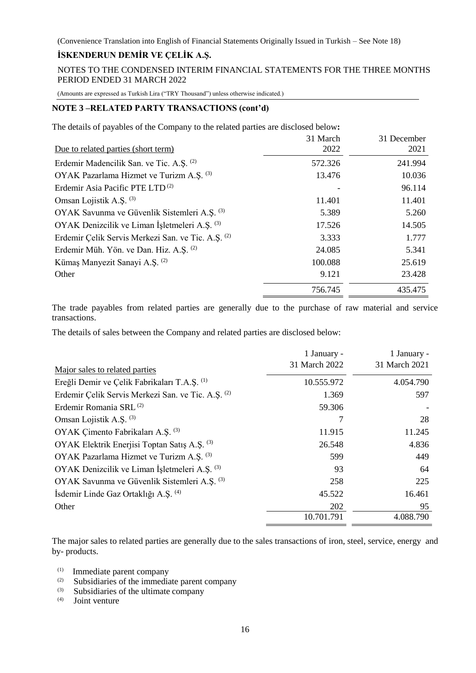# **İSKENDERUN DEMİR VE ÇELİK A.Ş.**

NOTES TO THE CONDENSED INTERIM FINANCIAL STATEMENTS FOR THE THREE MONTHS PERIOD ENDED 31 MARCH 2022

(Amounts are expressed as Turkish Lira ("TRY Thousand") unless otherwise indicated.)

# **NOTE 3 –RELATED PARTY TRANSACTIONS (cont'd)**

| Due to related parties (short term)                | 31 March<br>2022 | 31 December<br>2021 |
|----------------------------------------------------|------------------|---------------------|
| Erdemir Madencilik San. ve Tic. A.Ş. (2)           | 572.326          | 241.994             |
| OYAK Pazarlama Hizmet ve Turizm A.S. (3)           | 13.476           | 10.036              |
| Erdemir Asia Pacific PTE LTD <sup>(2)</sup>        |                  | 96.114              |
| Omsan Lojistik A.S. <sup>(3)</sup>                 | 11.401           | 11.401              |
| OYAK Savunma ve Güvenlik Sistemleri A.Ş. (3)       | 5.389            | 5.260               |
| OYAK Denizcilik ve Liman İşletmeleri A.Ş. (3)      | 17.526           | 14.505              |
| Erdemir Çelik Servis Merkezi San. ve Tic. A.Ş. (2) | 3.333            | 1.777               |
| Erdemir Müh. Yön. ve Dan. Hiz. A.Ş. (2)            | 24.085           | 5.341               |
| Kümaş Manyezit Sanayi A.Ş. <sup>(2)</sup>          | 100.088          | 25.619              |
| Other                                              | 9.121            | 23.428              |
|                                                    | 756.745          | 435.475             |

The trade payables from related parties are generally due to the purchase of raw material and service transactions.

The details of sales between the Company and related parties are disclosed below:

|                                                    | 1 January -   | 1 January -   |
|----------------------------------------------------|---------------|---------------|
| Major sales to related parties                     | 31 March 2022 | 31 March 2021 |
| Ereğli Demir ve Çelik Fabrikaları T.A.Ş. (1)       | 10.555.972    | 4.054.790     |
| Erdemir Çelik Servis Merkezi San. ve Tic. A.Ş. (2) | 1.369         | 597           |
| Erdemir Romania SRL <sup>(2)</sup>                 | 59.306        |               |
| Omsan Lojistik A.S. <sup>(3)</sup>                 | 7             | 28            |
| OYAK Çimento Fabrikaları A.Ş. (3)                  | 11.915        | 11.245        |
| OYAK Elektrik Enerjisi Toptan Satış A.Ş. (3)       | 26.548        | 4.836         |
| OYAK Pazarlama Hizmet ve Turizm A.S. (3)           | 599           | 449           |
| OYAK Denizcilik ve Liman İşletmeleri A.Ş. (3)      | 93            | 64            |
| OYAK Savunma ve Güvenlik Sistemleri A.Ş. (3)       | 258           | 225           |
| İsdemir Linde Gaz Ortaklığı A.Ş. (4)               | 45.522        | 16.461        |
| Other                                              | 202           | 95            |
|                                                    | 10.701.791    | 4.088.790     |

The major sales to related parties are generally due to the sales transactions of iron, steel, service, energy and by- products.

- $\sum_{(2)}$  Immediate parent company<br>(2) Subsidiaries of the immedia
- (2) Subsidiaries of the immediate parent company<br>(3) Subsidiaries of the ultimate company
- Subsidiaries of the ultimate company
- (4) Joint venture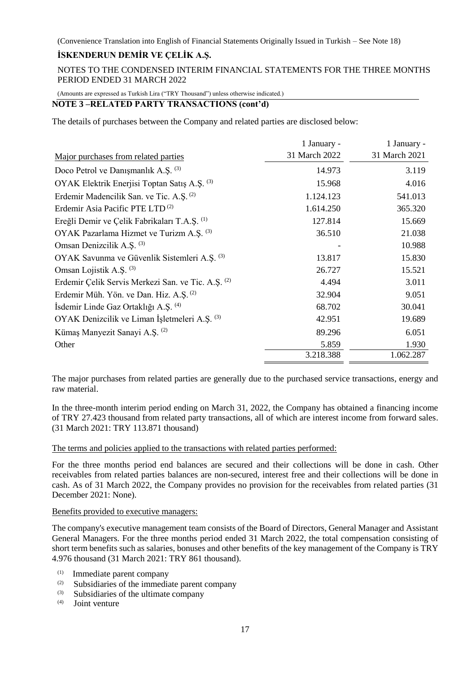NOTES TO THE CONDENSED INTERIM FINANCIAL STATEMENTS FOR THE THREE MONTHS PERIOD ENDED 31 MARCH 2022

(Amounts are expressed as Turkish Lira ("TRY Thousand") unless otherwise indicated.)

# **NOTE 3 –RELATED PARTY TRANSACTIONS (cont'd)**

The details of purchases between the Company and related parties are disclosed below:

|                                                     | 1 January -   | 1 January -   |
|-----------------------------------------------------|---------------|---------------|
| Major purchases from related parties                | 31 March 2022 | 31 March 2021 |
| Doco Petrol ve Danışmanlık A.Ş. (3)                 | 14.973        | 3.119         |
| OYAK Elektrik Enerjisi Toptan Satış A.Ş. (3)        | 15.968        | 4.016         |
| Erdemir Madencilik San. ve Tic. A.Ş. <sup>(2)</sup> | 1.124.123     | 541.013       |
| Erdemir Asia Pacific PTE LTD <sup>(2)</sup>         | 1.614.250     | 365.320       |
| Ereğli Demir ve Çelik Fabrikaları T.A.Ş. (1)        | 127.814       | 15.669        |
| OYAK Pazarlama Hizmet ve Turizm A.S. (3)            | 36.510        | 21.038        |
| Omsan Denizcilik A.S. <sup>(3)</sup>                |               | 10.988        |
| OYAK Savunma ve Güvenlik Sistemleri A.Ş. (3)        | 13.817        | 15.830        |
| Omsan Lojistik A.S. <sup>(3)</sup>                  | 26.727        | 15.521        |
| Erdemir Çelik Servis Merkezi San. ve Tic. A.Ş. (2)  | 4.494         | 3.011         |
| Erdemir Müh. Yön. ve Dan. Hiz. A.Ş. (2)             | 32.904        | 9.051         |
| Isdemir Linde Gaz Ortaklığı A.Ş. (4)                | 68.702        | 30.041        |
| OYAK Denizcilik ve Liman İşletmeleri A.Ş. (3)       | 42.951        | 19.689        |
| Kümaş Manyezit Sanayi A.Ş. <sup>(2)</sup>           | 89.296        | 6.051         |
| Other                                               | 5.859         | 1.930         |
|                                                     | 3.218.388     | 1.062.287     |

The major purchases from related parties are generally due to the purchased service transactions, energy and raw material.

In the three-month interim period ending on March 31, 2022, the Company has obtained a financing income of TRY 27.423 thousand from related party transactions, all of which are interest income from forward sales. (31 March 2021: TRY 113.871 thousand)

# The terms and policies applied to the transactions with related parties performed:

For the three months period end balances are secured and their collections will be done in cash. Other receivables from related parties balances are non-secured, interest free and their collections will be done in cash. As of 31 March 2022, the Company provides no provision for the receivables from related parties (31 December 2021: None).

# Benefits provided to executive managers:

The company's executive management team consists of the Board of Directors, General Manager and Assistant General Managers. For the three months period ended 31 March 2022, the total compensation consisting of short term benefits such as salaries, bonuses and other benefits of the key management of the Company is TRY 4.976 thousand (31 March 2021: TRY 861 thousand).

- (1) Immediate parent company
- (2) Subsidiaries of the immediate parent company
- $\begin{bmatrix} (3) \\ (4) \end{bmatrix}$  Subsidiaries of the ultimate company
- Joint venture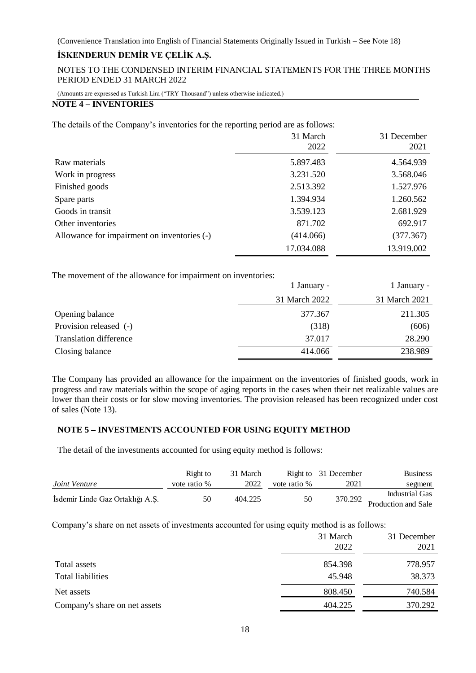NOTES TO THE CONDENSED INTERIM FINANCIAL STATEMENTS FOR THE THREE MONTHS PERIOD ENDED 31 MARCH 2022

(Amounts are expressed as Turkish Lira ("TRY Thousand") unless otherwise indicated.)

# **NOTE 4 – INVENTORIES**

The details of the Company's inventories for the reporting period are as follows:

|                                             | 31 March<br>2022 | 31 December<br>2021 |
|---------------------------------------------|------------------|---------------------|
| Raw materials                               | 5.897.483        | 4.564.939           |
| Work in progress                            | 3.231.520        | 3.568.046           |
| Finished goods                              | 2.513.392        | 1.527.976           |
| Spare parts                                 | 1.394.934        | 1.260.562           |
| Goods in transit                            | 3.539.123        | 2.681.929           |
| Other inventories                           | 871.702          | 692.917             |
| Allowance for impairment on inventories (-) | (414.066)        | (377.367)           |
|                                             | 17.034.088       | 13.919.002          |

The movement of the allowance for impairment on inventories:

|                               | 1 January -   | 1 January -   |
|-------------------------------|---------------|---------------|
|                               | 31 March 2022 | 31 March 2021 |
| Opening balance               | 377.367       | 211.305       |
| Provision released (-)        | (318)         | (606)         |
| <b>Translation difference</b> | 37.017        | 28.290        |
| Closing balance               | 414.066       | 238.989       |

The Company has provided an allowance for the impairment on the inventories of finished goods, work in progress and raw materials within the scope of aging reports in the cases when their net realizable values are lower than their costs or for slow moving inventories. The provision released has been recognized under cost of sales (Note 13).

# **NOTE 5 – INVESTMENTS ACCOUNTED FOR USING EQUITY METHOD**

The detail of the investments accounted for using equity method is follows:

|                                  | Right to     | 31 March |              | Right to 31 December | <b>Business</b>     |
|----------------------------------|--------------|----------|--------------|----------------------|---------------------|
| Joint Venture                    | vote ratio % | 2022     | vote ratio % | 2021                 | segment             |
| İsdemir Linde Gaz Ortaklığı A.Ş. | 50           | 404.225  | 50           |                      | Industrial Gas      |
|                                  |              |          |              | 370.292              | Production and Sale |

Company's share on net assets of investments accounted for using equity method is as follows:

| 31 March<br>2022 | 31 December<br>2021 |
|------------------|---------------------|
| 854.398          | 778.957             |
| 45.948           | 38.373              |
| 808.450          | 740.584             |
| 404.225          | 370.292             |
|                  |                     |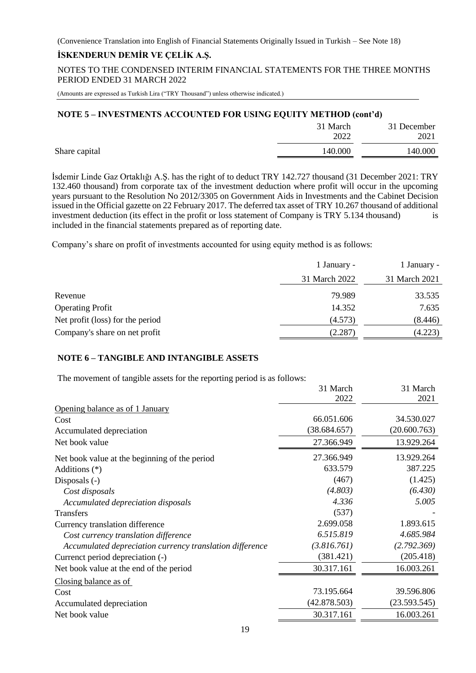NOTES TO THE CONDENSED INTERIM FINANCIAL STATEMENTS FOR THE THREE MONTHS PERIOD ENDED 31 MARCH 2022

(Amounts are expressed as Turkish Lira ("TRY Thousand") unless otherwise indicated.)

#### **NOTE 5 – INVESTMENTS ACCOUNTED FOR USING EQUITY METHOD (cont'd)**

|               | 31 March<br>2022 | 31 December<br>2021 |
|---------------|------------------|---------------------|
| Share capital | 140.000          | 140.000             |
|               |                  |                     |

İsdemir Linde Gaz Ortaklığı A.Ş. has the right of to deduct TRY 142.727 thousand (31 December 2021: TRY 132.460 thousand) from corporate tax of the investment deduction where profit will occur in the upcoming years pursuant to the Resolution No 2012/3305 on Government Aids in Investments and the Cabinet Decision issued in the Official gazette on 22 February 2017. The deferred tax asset of TRY 10.267 thousand of additional investment deduction (its effect in the profit or loss statement of Company is TRY 5.134 thousand) is included in the financial statements prepared as of reporting date.

Company's share on profit of investments accounted for using equity method is as follows:

|                                  | 1 January -   | 1 January -   |
|----------------------------------|---------------|---------------|
|                                  | 31 March 2022 | 31 March 2021 |
| Revenue                          | 79.989        | 33.535        |
| <b>Operating Profit</b>          | 14.352        | 7.635         |
| Net profit (loss) for the period | (4.573)       | (8.446)       |
| Company's share on net profit    | (2.287)       | (4.223)       |
|                                  |               |               |

# **NOTE 6 – TANGIBLE AND INTANGIBLE ASSETS**

The movement of tangible assets for the reporting period is as follows:

|                                                          | 31 March     | 31 March     |
|----------------------------------------------------------|--------------|--------------|
|                                                          | 2022         | 2021         |
| Opening balance as of 1 January                          |              |              |
| Cost                                                     | 66.051.606   | 34.530.027   |
| Accumulated depreciation                                 | (38.684.657) | (20.600.763) |
| Net book value                                           | 27.366.949   | 13.929.264   |
| Net book value at the beginning of the period            | 27.366.949   | 13.929.264   |
| Additions $(*)$                                          | 633.579      | 387.225      |
| Disposals $(-)$                                          | (467)        | (1.425)      |
| Cost disposals                                           | (4.803)      | (6.430)      |
| Accumulated depreciation disposals                       | 4.336        | 5.005        |
| Transfers                                                | (537)        |              |
| Currency translation difference                          | 2.699.058    | 1.893.615    |
| Cost currency translation difference                     | 6.515.819    | 4.685.984    |
| Accumulated depreciation currency translation difference | (3.816.761)  | (2.792.369)  |
| Currenct period depreciation (-)                         | (381.421)    | (205.418)    |
| Net book value at the end of the period                  | 30.317.161   | 16.003.261   |
| Closing balance as of                                    |              |              |
| Cost                                                     | 73.195.664   | 39.596.806   |
| Accumulated depreciation                                 | (42.878.503) | (23.593.545) |
| Net book value                                           | 30.317.161   | 16.003.261   |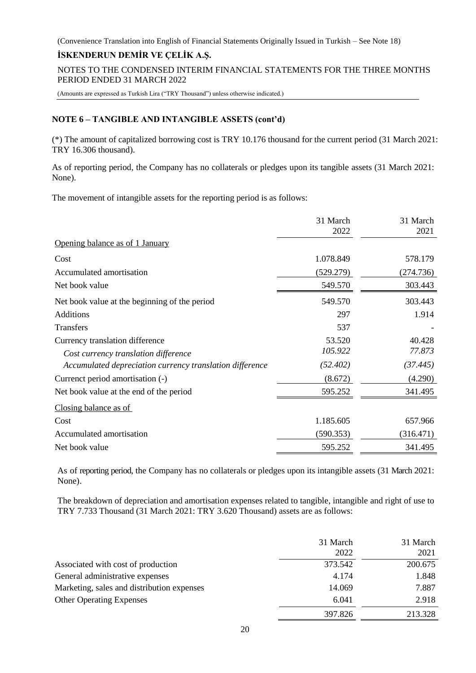# **İSKENDERUN DEMİR VE ÇELİK A.Ş.**

NOTES TO THE CONDENSED INTERIM FINANCIAL STATEMENTS FOR THE THREE MONTHS PERIOD ENDED 31 MARCH 2022

(Amounts are expressed as Turkish Lira ("TRY Thousand") unless otherwise indicated.)

# **NOTE 6 – TANGIBLE AND INTANGIBLE ASSETS (cont'd)**

(\*) The amount of capitalized borrowing cost is TRY 10.176 thousand for the current period (31 March 2021: TRY 16.306 thousand).

As of reporting period, the Company has no collaterals or pledges upon its tangible assets (31 March 2021: None).

The movement of intangible assets for the reporting period is as follows:

|                                                          | 31 March<br>2022 | 31 March<br>2021 |
|----------------------------------------------------------|------------------|------------------|
| Opening balance as of 1 January                          |                  |                  |
| Cost                                                     | 1.078.849        | 578.179          |
| Accumulated amortisation                                 | (529.279)        | (274.736)        |
| Net book value                                           | 549.570          | 303.443          |
| Net book value at the beginning of the period            | 549.570          | 303.443          |
| <b>Additions</b>                                         | 297              | 1.914            |
| Transfers                                                | 537              |                  |
| Currency translation difference                          | 53.520           | 40.428           |
| Cost currency translation difference                     | 105.922          | 77.873           |
| Accumulated depreciation currency translation difference | (52.402)         | (37.445)         |
| Currenct period amortisation (-)                         | (8.672)          | (4.290)          |
| Net book value at the end of the period                  | 595.252          | 341.495          |
| Closing balance as of                                    |                  |                  |
| Cost                                                     | 1.185.605        | 657.966          |
| Accumulated amortisation                                 | (590.353)        | (316.471)        |
| Net book value                                           | 595.252          | 341.495          |

As of reporting period, the Company has no collaterals or pledges upon its intangible assets (31 March 2021: None).

The breakdown of depreciation and amortisation expenses related to tangible, intangible and right of use to TRY 7.733 Thousand (31 March 2021: TRY 3.620 Thousand) assets are as follows:

|                                            | 31 March<br>2022 | 31 March<br>2021 |
|--------------------------------------------|------------------|------------------|
| Associated with cost of production         | 373.542          | 200.675          |
| General administrative expenses            | 4.174            | 1.848            |
| Marketing, sales and distribution expenses | 14.069           | 7.887            |
| <b>Other Operating Expenses</b>            | 6.041            | 2.918            |
|                                            | 397.826          | 213.328          |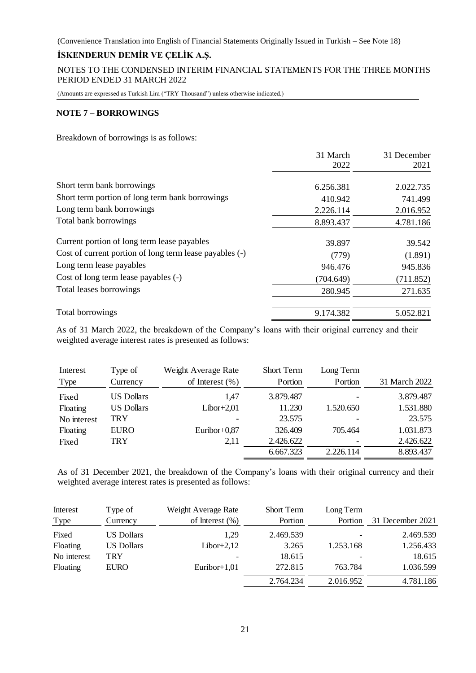NOTES TO THE CONDENSED INTERIM FINANCIAL STATEMENTS FOR THE THREE MONTHS PERIOD ENDED 31 MARCH 2022

(Amounts are expressed as Turkish Lira ("TRY Thousand") unless otherwise indicated.)

# **NOTE 7 – BORROWINGS**

Breakdown of borrowings is as follows:

|                                                         | 31 March<br>2022 | 31 December<br>2021 |
|---------------------------------------------------------|------------------|---------------------|
|                                                         |                  |                     |
| Short term bank borrowings                              | 6.256.381        | 2.022.735           |
| Short term portion of long term bank borrowings         | 410.942          | 741.499             |
| Long term bank borrowings                               | 2.226.114        | 2.016.952           |
| Total bank borrowings                                   | 8.893.437        | 4.781.186           |
| Current portion of long term lease payables             | 39.897           | 39.542              |
| Cost of current portion of long term lease payables (-) | (779)            | (1.891)             |
| Long term lease payables                                | 946.476          | 945.836             |
| Cost of long term lease payables (-)                    | (704.649)        | (711.852)           |
| Total leases borrowings                                 | 280.945          | 271.635             |
| Total borrowings                                        | 9.174.382        | 5.052.821           |

As of 31 March 2022, the breakdown of the Company's loans with their original currency and their weighted average interest rates is presented as follows:

| Interest    | Type of           | Weight Average Rate | <b>Short Term</b> | Long Term |               |
|-------------|-------------------|---------------------|-------------------|-----------|---------------|
| <b>Type</b> | Currency          | of Interest $(\% )$ | Portion           | Portion   | 31 March 2022 |
| Fixed       | <b>US Dollars</b> | 1.47                | 3.879.487         |           | 3.879.487     |
| Floating    | <b>US Dollars</b> | Libor $+2,01$       | 11.230            | 1.520.650 | 1.531.880     |
| No interest | TRY               |                     | 23.575            |           | 23.575        |
| Floating    | <b>EURO</b>       | Euribor+0,87        | 326.409           | 705.464   | 1.031.873     |
| Fixed       | TRY               | 2,11                | 2.426.622         |           | 2.426.622     |
|             |                   |                     | 6.667.323         | 2.226.114 | 8.893.437     |

As of 31 December 2021, the breakdown of the Company's loans with their original currency and their weighted average interest rates is presented as follows:

| Interest    | Type of           | Weight Average Rate | <b>Short Term</b> | Long Term |                  |
|-------------|-------------------|---------------------|-------------------|-----------|------------------|
| Type        | Currency          | of Interest $(\% )$ | Portion           | Portion   | 31 December 2021 |
| Fixed       | <b>US Dollars</b> | 1.29                | 2.469.539         |           | 2.469.539        |
| Floating    | <b>US Dollars</b> | $Libor+2,12$        | 3.265             | 1.253.168 | 1.256.433        |
| No interest | TRY               |                     | 18.615            |           | 18.615           |
| Floating    | <b>EURO</b>       | Euribor+ $1,01$     | 272.815           | 763.784   | 1.036.599        |
|             |                   |                     | 2.764.234         | 2.016.952 | 4.781.186        |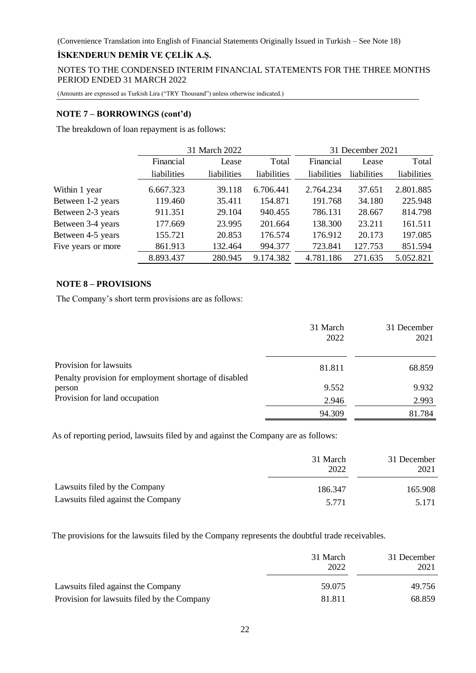NOTES TO THE CONDENSED INTERIM FINANCIAL STATEMENTS FOR THE THREE MONTHS PERIOD ENDED 31 MARCH 2022

(Amounts are expressed as Turkish Lira ("TRY Thousand") unless otherwise indicated.)

#### **NOTE 7 – BORROWINGS (cont'd)**

The breakdown of loan repayment is as follows:

|                    | 31 March 2022 |             |                    | 31 December 2021 |             |             |  |
|--------------------|---------------|-------------|--------------------|------------------|-------------|-------------|--|
|                    | Financial     | Lease       | Total<br>Financial |                  | Lease       | Total       |  |
|                    | liabilities   | liabilities | liabilities        | liabilities      | liabilities | liabilities |  |
| Within 1 year      | 6.667.323     | 39.118      | 6.706.441          | 2.764.234        | 37.651      | 2.801.885   |  |
| Between 1-2 years  | 119.460       | 35.411      | 154.871            | 191.768          | 34.180      | 225.948     |  |
| Between 2-3 years  | 911.351       | 29.104      | 940.455            | 786.131          | 28.667      | 814.798     |  |
| Between 3-4 years  | 177.669       | 23.995      | 201.664            | 138.300          | 23.211      | 161.511     |  |
| Between 4-5 years  | 155.721       | 20.853      | 176.574            | 176.912          | 20.173      | 197.085     |  |
| Five years or more | 861.913       | 132.464     | 994.377            | 723.841          | 127.753     | 851.594     |  |
|                    | 8.893.437     | 280.945     | 9.174.382          | 4.781.186        | 271.635     | 5.052.821   |  |

# **NOTE 8 – PROVISIONS**

The Company's short term provisions are as follows:

|                                                                 | 31 March<br>2022 | 31 December<br>2021 |
|-----------------------------------------------------------------|------------------|---------------------|
| Provision for lawsuits                                          | 81.811           | 68.859              |
| Penalty provision for employment shortage of disabled<br>person | 9.552            | 9.932               |
| Provision for land occupation                                   | 2.946            | 2.993               |
|                                                                 | 94.309           | 81.784              |

As of reporting period, lawsuits filed by and against the Company are as follows:

|                                    | 31 March<br>2022 | 31 December<br>2021 |  |
|------------------------------------|------------------|---------------------|--|
| Lawsuits filed by the Company      | 186.347          | 165.908             |  |
| Lawsuits filed against the Company | 5.771            | 5.171               |  |

The provisions for the lawsuits filed by the Company represents the doubtful trade receivables.

|                                             | 31 March<br>2022 | 31 December<br>2021 |  |
|---------------------------------------------|------------------|---------------------|--|
| Lawsuits filed against the Company          | 59.075           | 49.756              |  |
| Provision for lawsuits filed by the Company | 81.811           | 68.859              |  |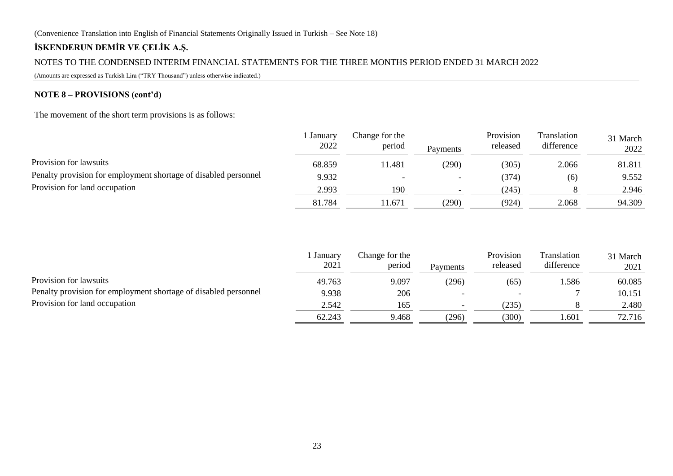# **İSKENDERUN DEMİR VE ÇELİK A.Ş.**

# NOTES TO THE CONDENSED INTERIM FINANCIAL STATEMENTS FOR THE THREE MONTHS PERIOD ENDED 31 MARCH 2022

(Amounts are expressed as Turkish Lira ("TRY Thousand") unless otherwise indicated.)

# **NOTE 8 – PROVISIONS (cont'd)**

The movement of the short term provisions is as follows:

|                                                                                                  | January<br>2022 | Change for the<br>period | Payments | Provision<br>released | Translation<br>difference | 31 March<br>2022 |
|--------------------------------------------------------------------------------------------------|-----------------|--------------------------|----------|-----------------------|---------------------------|------------------|
| Provision for lawsuits                                                                           | 68.859          | 11.481                   | 290)     | (305)                 | 2.066                     | 81.811           |
| Penalty provision for employment shortage of disabled personnel<br>Provision for land occupation | 9.932           |                          |          | (374)                 | (6)                       | 9.552            |
|                                                                                                  | 2.993           | 190                      |          | (245)                 |                           | 2.946            |
|                                                                                                  | 81.784          | 11.671                   | (290)    | (924)                 | 2.068                     | 94.309           |
|                                                                                                  |                 |                          |          |                       |                           |                  |

|                                                                 | January<br>2021 | Change for the<br>period | Payments                 | Provision<br>released | Translation<br>difference | 31 March<br>2021 |
|-----------------------------------------------------------------|-----------------|--------------------------|--------------------------|-----------------------|---------------------------|------------------|
| Provision for lawsuits                                          | 49.763          | 9.097                    | (296)                    | (65)                  | . 586                     | 60.085           |
| Penalty provision for employment shortage of disabled personnel | 9.938           | 206                      |                          |                       |                           | 10.151           |
| Provision for land occupation                                   | 2.542           | 165                      | $\overline{\phantom{a}}$ | (235)                 |                           | 2.480            |
|                                                                 | 62.243          | 9.468                    | (296)                    | (300)                 | l.601                     | 72.716           |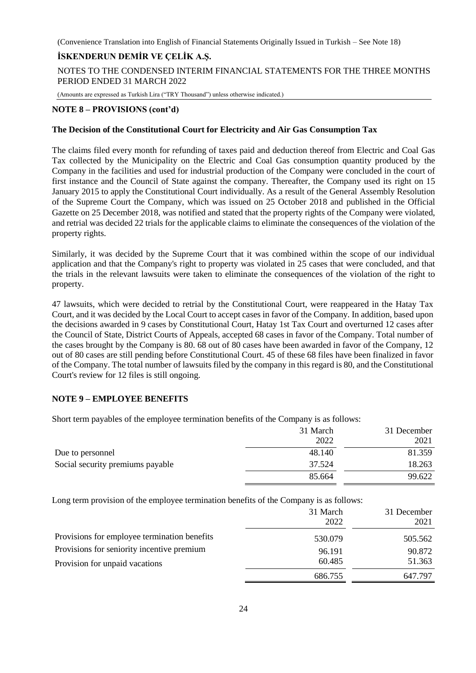# **İSKENDERUN DEMİR VE ÇELİK A.Ş.**

NOTES TO THE CONDENSED INTERIM FINANCIAL STATEMENTS FOR THE THREE MONTHS PERIOD ENDED 31 MARCH 2022

(Amounts are expressed as Turkish Lira ("TRY Thousand") unless otherwise indicated.)

#### **NOTE 8 – PROVISIONS (cont'd)**

#### **The Decision of the Constitutional Court for Electricity and Air Gas Consumption Tax**

The claims filed every month for refunding of taxes paid and deduction thereof from Electric and Coal Gas Tax collected by the Municipality on the Electric and Coal Gas consumption quantity produced by the Company in the facilities and used for industrial production of the Company were concluded in the court of first instance and the Council of State against the company. Thereafter, the Company used its right on 15 January 2015 to apply the Constitutional Court individually. As a result of the General Assembly Resolution of the Supreme Court the Company, which was issued on 25 October 2018 and published in the Official Gazette on 25 December 2018, was notified and stated that the property rights of the Company were violated, and retrial was decided 22 trials for the applicable claims to eliminate the consequences of the violation of the property rights.

Similarly, it was decided by the Supreme Court that it was combined within the scope of our individual application and that the Company's right to property was violated in 25 cases that were concluded, and that the trials in the relevant lawsuits were taken to eliminate the consequences of the violation of the right to property.

47 lawsuits, which were decided to retrial by the Constitutional Court, were reappeared in the Hatay Tax Court, and it was decided by the Local Court to accept cases in favor of the Company. In addition, based upon the decisions awarded in 9 cases by Constitutional Court, Hatay 1st Tax Court and overturned 12 cases after the Council of State, District Courts of Appeals, accepted 68 cases in favor of the Company. Total number of the cases brought by the Company is 80. 68 out of 80 cases have been awarded in favor of the Company, 12 out of 80 cases are still pending before Constitutional Court. 45 of these 68 files have been finalized in favor of the Company. The total number of lawsuits filed by the company in this regard is 80, and the Constitutional Court's review for 12 files is still ongoing.

# **NOTE 9 – EMPLOYEE BENEFITS**

Short term payables of the employee termination benefits of the Company is as follows:

|                                  | 31 March | 31 December |
|----------------------------------|----------|-------------|
|                                  | 2022     | 2021        |
| Due to personnel                 | 48.140   | 81.359      |
| Social security premiums payable | 37.524   | 18.263      |
|                                  | 85.664   | 99.622      |
|                                  |          |             |

Long term provision of the employee termination benefits of the Company is as follows:

|                                              | 31 March<br>2022 | 31 December<br>2021 |
|----------------------------------------------|------------------|---------------------|
| Provisions for employee termination benefits | 530.079          | 505.562             |
| Provisions for seniority incentive premium   | 96.191           | 90.872              |
| Provision for unpaid vacations               | 60.485           | 51.363              |
|                                              | 686.755          | 647.797             |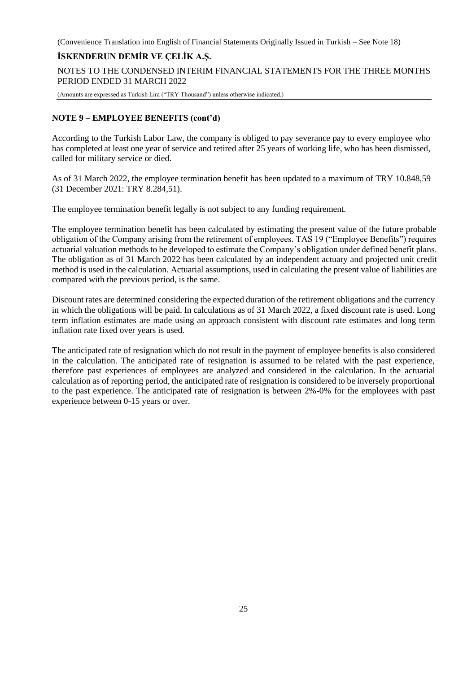# **İSKENDERUN DEMİR VE ÇELİK A.Ş.**

NOTES TO THE CONDENSED INTERIM FINANCIAL STATEMENTS FOR THE THREE MONTHS PERIOD ENDED 31 MARCH 2022

(Amounts are expressed as Turkish Lira ("TRY Thousand") unless otherwise indicated.)

# **NOTE 9 – EMPLOYEE BENEFITS (cont'd)**

According to the Turkish Labor Law, the company is obliged to pay severance pay to every employee who has completed at least one year of service and retired after 25 years of working life, who has been dismissed, called for military service or died.

As of 31 March 2022, the employee termination benefit has been updated to a maximum of TRY 10.848,59 (31 December 2021: TRY 8.284,51).

The employee termination benefit legally is not subject to any funding requirement.

The employee termination benefit has been calculated by estimating the present value of the future probable obligation of the Company arising from the retirement of employees. TAS 19 ("Employee Benefits") requires actuarial valuation methods to be developed to estimate the Company's obligation under defined benefit plans. The obligation as of 31 March 2022 has been calculated by an independent actuary and projected unit credit method is used in the calculation. Actuarial assumptions, used in calculating the present value of liabilities are compared with the previous period, is the same.

Discount rates are determined considering the expected duration of the retirement obligations and the currency in which the obligations will be paid. In calculations as of 31 March 2022, a fixed discount rate is used. Long term inflation estimates are made using an approach consistent with discount rate estimates and long term inflation rate fixed over years is used.

The anticipated rate of resignation which do not result in the payment of employee benefits is also considered in the calculation. The anticipated rate of resignation is assumed to be related with the past experience, therefore past experiences of employees are analyzed and considered in the calculation. In the actuarial calculation as of reporting period, the anticipated rate of resignation is considered to be inversely proportional to the past experience. The anticipated rate of resignation is between 2%-0% for the employees with past experience between 0-15 years or over.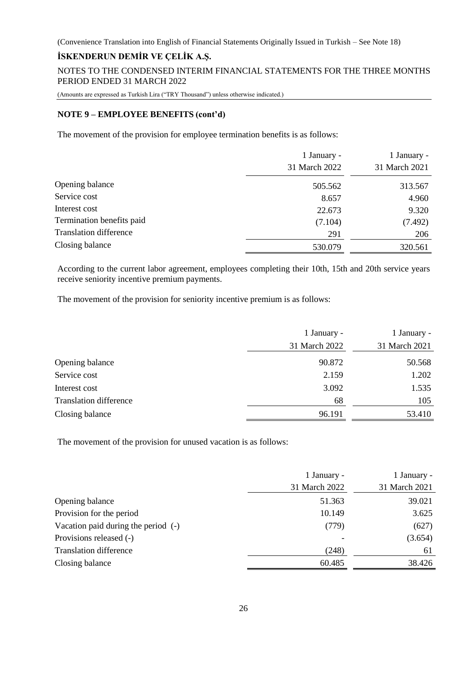# **İSKENDERUN DEMİR VE ÇELİK A.Ş.**

NOTES TO THE CONDENSED INTERIM FINANCIAL STATEMENTS FOR THE THREE MONTHS PERIOD ENDED 31 MARCH 2022

(Amounts are expressed as Turkish Lira ("TRY Thousand") unless otherwise indicated.)

#### **NOTE 9 – EMPLOYEE BENEFITS (cont'd)**

The movement of the provision for employee termination benefits is as follows:

|                               | 1 January -<br>31 March 2022 | 1 January -<br>31 March 2021 |
|-------------------------------|------------------------------|------------------------------|
| Opening balance               | 505.562                      | 313.567                      |
| Service cost                  | 8.657                        | 4.960                        |
| Interest cost                 | 22.673                       | 9.320                        |
| Termination benefits paid     | (7.104)                      | (7.492)                      |
| <b>Translation difference</b> | 291                          | 206                          |
| Closing balance               | 530.079                      | 320.561                      |

According to the current labor agreement, employees completing their 10th, 15th and 20th service years receive seniority incentive premium payments.

The movement of the provision for seniority incentive premium is as follows:

|                               | 1 January -   | 1 January -   |
|-------------------------------|---------------|---------------|
|                               | 31 March 2022 | 31 March 2021 |
| Opening balance               | 90.872        | 50.568        |
| Service cost                  | 2.159         | 1.202         |
| Interest cost                 | 3.092         | 1.535         |
| <b>Translation difference</b> | 68            | 105           |
| Closing balance               | 96.191        | 53.410        |
|                               |               |               |

The movement of the provision for unused vacation is as follows:

|                                     | 1 January -   | 1 January -   |
|-------------------------------------|---------------|---------------|
|                                     | 31 March 2022 | 31 March 2021 |
| Opening balance                     | 51.363        | 39.021        |
| Provision for the period            | 10.149        | 3.625         |
| Vacation paid during the period (-) | (779)         | (627)         |
| Provisions released (-)             |               | (3.654)       |
| <b>Translation difference</b>       | (248)         | 61            |
| Closing balance                     | 60.485        | 38.426        |
|                                     |               |               |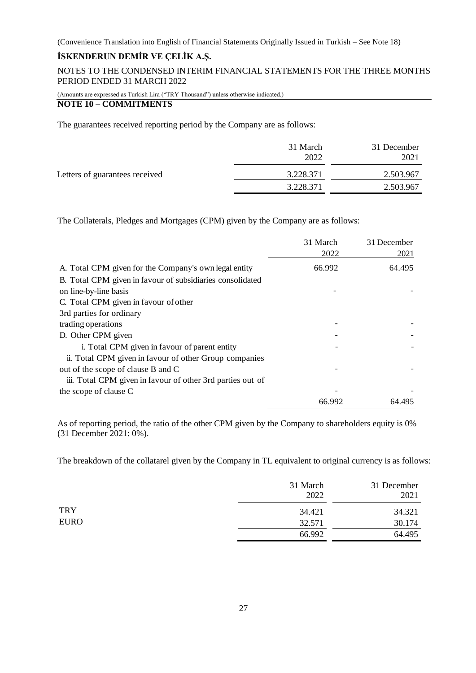# **İSKENDERUN DEMİR VE ÇELİK A.Ş.**

NOTES TO THE CONDENSED INTERIM FINANCIAL STATEMENTS FOR THE THREE MONTHS PERIOD ENDED 31 MARCH 2022

(Amounts are expressed as Turkish Lira ("TRY Thousand") unless otherwise indicated.)

# **NOTE 10 – COMMITMENTS**

The guarantees received reporting period by the Company are as follows:

|                                | 31 March<br>2022 | 31 December<br>2021 |
|--------------------------------|------------------|---------------------|
| Letters of guarantees received | 3.228.371        | 2.503.967           |
|                                | 3.228.371        | 2.503.967           |

The Collaterals, Pledges and Mortgages (CPM) given by the Company are as follows:

|                                                            | 31 March | 31 December |
|------------------------------------------------------------|----------|-------------|
|                                                            | 2022     | 2021        |
| A. Total CPM given for the Company's own legal entity      | 66.992   | 64.495      |
| B. Total CPM given in favour of subsidiaries consolidated  |          |             |
| on line-by-line basis                                      |          |             |
| C. Total CPM given in favour of other                      |          |             |
| 3rd parties for ordinary                                   |          |             |
| trading operations                                         |          |             |
| D. Other CPM given                                         |          |             |
| i. Total CPM given in favour of parent entity              |          |             |
| ii. Total CPM given in favour of other Group companies     |          |             |
| out of the scope of clause B and C                         |          |             |
| iii. Total CPM given in favour of other 3rd parties out of |          |             |
| the scope of clause C                                      |          |             |
|                                                            | 66.992   | 64.495      |

As of reporting period, the ratio of the other CPM given by the Company to shareholders equity is 0% (31 December 2021: 0%).

The breakdown of the collatarel given by the Company in TL equivalent to original currency is as follows:

|             | 31 March<br>2022 | 31 December<br>2021 |
|-------------|------------------|---------------------|
| <b>TRY</b>  | 34.421           | 34.321              |
| <b>EURO</b> | 32.571           | 30.174              |
|             | 66.992           | 64.495              |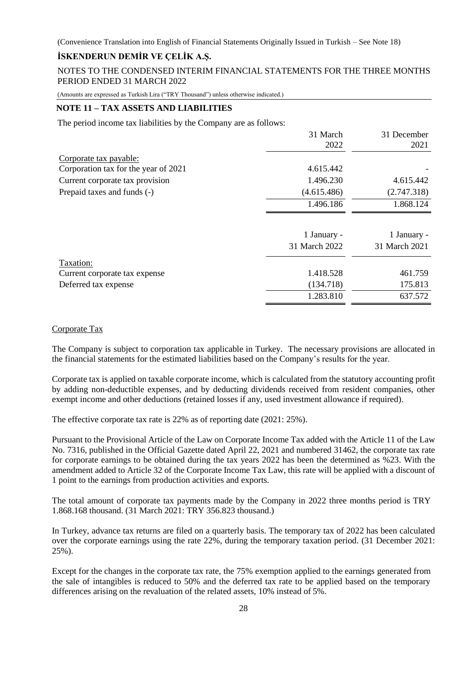# **İSKENDERUN DEMİR VE ÇELİK A.Ş.**

NOTES TO THE CONDENSED INTERIM FINANCIAL STATEMENTS FOR THE THREE MONTHS PERIOD ENDED 31 MARCH 2022

(Amounts are expressed as Turkish Lira ("TRY Thousand") unless otherwise indicated.)

# **NOTE 11 – TAX ASSETS AND LIABILITIES**

The period income tax liabilities by the Company are as follows:

|                                      | 31 March      | 31 December   |
|--------------------------------------|---------------|---------------|
|                                      | 2022          | 2021          |
| Corporate tax payable:               |               |               |
| Corporation tax for the year of 2021 | 4.615.442     |               |
| Current corporate tax provision      | 1.496.230     | 4.615.442     |
| Prepaid taxes and funds (-)          | (4.615.486)   | (2.747.318)   |
|                                      | 1.496.186     | 1.868.124     |
|                                      |               |               |
|                                      | 1 January -   | 1 January -   |
|                                      | 31 March 2022 | 31 March 2021 |
| Taxation:                            |               |               |
| Current corporate tax expense        | 1.418.528     | 461.759       |
| Deferred tax expense                 | (134.718)     | 175.813       |
|                                      | 1.283.810     | 637.572       |

#### Corporate Tax

The Company is subject to corporation tax applicable in Turkey. The necessary provisions are allocated in the financial statements for the estimated liabilities based on the Company's results for the year.

Corporate tax is applied on taxable corporate income, which is calculated from the statutory accounting profit by adding non-deductible expenses, and by deducting dividends received from resident companies, other exempt income and other deductions (retained losses if any, used investment allowance if required).

The effective corporate tax rate is 22% as of reporting date (2021: 25%).

Pursuant to the Provisional Article of the Law on Corporate Income Tax added with the Article 11 of the Law No. 7316, published in the Official Gazette dated April 22, 2021 and numbered 31462, the corporate tax rate for corporate earnings to be obtained during the tax years 2022 has been the determined as %23. With the amendment added to Article 32 of the Corporate Income Tax Law, this rate will be applied with a discount of 1 point to the earnings from production activities and exports.

The total amount of corporate tax payments made by the Company in 2022 three months period is TRY 1.868.168 thousand. (31 March 2021: TRY 356.823 thousand.)

In Turkey, advance tax returns are filed on a quarterly basis. The temporary tax of 2022 has been calculated over the corporate earnings using the rate 22%, during the temporary taxation period. (31 December 2021: 25%).

Except for the changes in the corporate tax rate, the 75% exemption applied to the earnings generated from the sale of intangibles is reduced to 50% and the deferred tax rate to be applied based on the temporary differences arising on the revaluation of the related assets, 10% instead of 5%.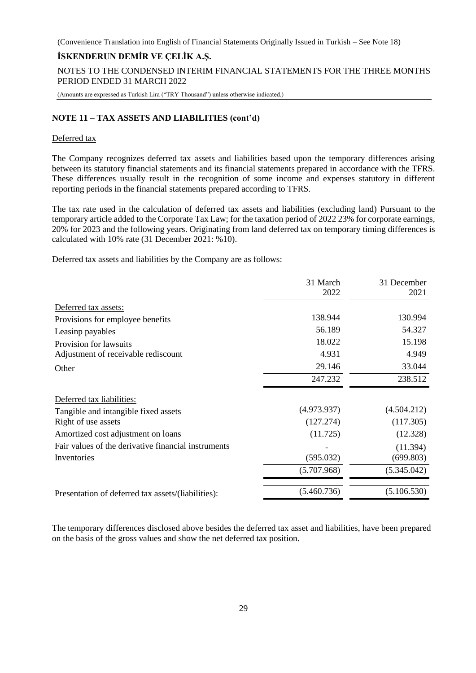# **İSKENDERUN DEMİR VE ÇELİK A.Ş.**

NOTES TO THE CONDENSED INTERIM FINANCIAL STATEMENTS FOR THE THREE MONTHS PERIOD ENDED 31 MARCH 2022

(Amounts are expressed as Turkish Lira ("TRY Thousand") unless otherwise indicated.)

# **NOTE 11 – TAX ASSETS AND LIABILITIES (cont'd)**

#### Deferred tax

The Company recognizes deferred tax assets and liabilities based upon the temporary differences arising between its statutory financial statements and its financial statements prepared in accordance with the TFRS. These differences usually result in the recognition of some income and expenses statutory in different reporting periods in the financial statements prepared according to TFRS.

The tax rate used in the calculation of deferred tax assets and liabilities (excluding land) Pursuant to the temporary article added to the Corporate Tax Law; for the taxation period of 2022 23% for corporate earnings, 20% for 2023 and the following years. Originating from land deferred tax on temporary timing differences is calculated with 10% rate (31 December 2021: %10).

Deferred tax assets and liabilities by the Company are as follows:

|                                                     | 31 March    | 31 December |
|-----------------------------------------------------|-------------|-------------|
|                                                     | 2022        | 2021        |
| Deferred tax assets:                                |             |             |
| Provisions for employee benefits                    | 138.944     | 130.994     |
| Leasinp payables                                    | 56.189      | 54.327      |
| Provision for lawsuits                              | 18.022      | 15.198      |
| Adjustment of receivable rediscount                 | 4.931       | 4.949       |
| Other                                               | 29.146      | 33.044      |
|                                                     | 247.232     | 238.512     |
| Deferred tax liabilities:                           |             |             |
| Tangible and intangible fixed assets                | (4.973.937) | (4.504.212) |
| Right of use assets                                 | (127.274)   | (117.305)   |
| Amortized cost adjustment on loans                  | (11.725)    | (12.328)    |
| Fair values of the derivative financial instruments |             | (11.394)    |
| Inventories                                         | (595.032)   | (699.803)   |
|                                                     | (5.707.968) | (5.345.042) |
| Presentation of deferred tax assets/(liabilities):  | (5.460.736) | (5.106.530) |

The temporary differences disclosed above besides the deferred tax asset and liabilities, have been prepared on the basis of the gross values and show the net deferred tax position.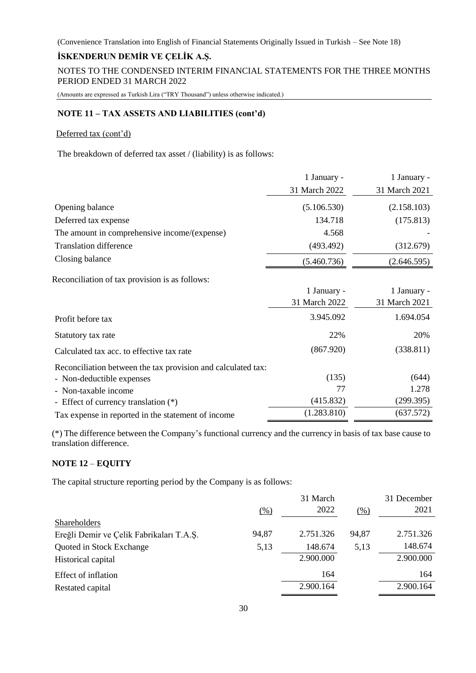# **İSKENDERUN DEMİR VE ÇELİK A.Ş.**

NOTES TO THE CONDENSED INTERIM FINANCIAL STATEMENTS FOR THE THREE MONTHS PERIOD ENDED 31 MARCH 2022

(Amounts are expressed as Turkish Lira ("TRY Thousand") unless otherwise indicated.)

#### **NOTE 11 – TAX ASSETS AND LIABILITIES (cont'd)**

#### Deferred tax (cont'd)

The breakdown of deferred tax asset / (liability) is as follows:

|                                              | 1 January -   | 1 January -   |
|----------------------------------------------|---------------|---------------|
|                                              | 31 March 2022 | 31 March 2021 |
| Opening balance                              | (5.106.530)   | (2.158.103)   |
| Deferred tax expense                         | 134.718       | (175.813)     |
| The amount in comprehensive income/(expense) | 4.568         |               |
| <b>Translation difference</b>                | (493.492)     | (312.679)     |
| Closing balance                              | (5.460.736)   | (2.646.595)   |
|                                              |               |               |

Reconciliation of tax provision is as follows:

|                                                              | 1 January -   | 1 January -   |
|--------------------------------------------------------------|---------------|---------------|
|                                                              | 31 March 2022 | 31 March 2021 |
| Profit before tax                                            | 3.945.092     | 1.694.054     |
| Statutory tax rate                                           | 22%           | 20%           |
| Calculated tax acc. to effective tax rate                    | (867.920)     | (338.811)     |
| Reconciliation between the tax provision and calculated tax: |               |               |
| - Non-deductible expenses                                    | (135)         | (644)         |
| - Non-taxable income                                         | 77            | 1.278         |
| - Effect of currency translation (*)                         | (415.832)     | (299.395)     |
| Tax expense in reported in the statement of income           | (1.283.810)   | (637.572)     |

(\*) The difference between the Company's functional currency and the currency in basis of tax base cause to translation difference.

# **NOTE 12** – **EQUITY**

The capital structure reporting period by the Company is as follows:

|                                          |                   | 31 March  |       | 31 December |
|------------------------------------------|-------------------|-----------|-------|-------------|
|                                          | $\frac{(0,0)}{2}$ | 2022      | (% )  | 2021        |
| <b>Shareholders</b>                      |                   |           |       |             |
| Ereğli Demir ve Çelik Fabrikaları T.A.Ş. | 94,87             | 2.751.326 | 94,87 | 2.751.326   |
| Quoted in Stock Exchange                 | 5,13              | 148.674   | 5,13  | 148.674     |
| Historical capital                       |                   | 2.900.000 |       | 2.900.000   |
| Effect of inflation                      |                   | 164       |       | 164         |
| Restated capital                         |                   | 2.900.164 |       | 2.900.164   |
|                                          |                   |           |       |             |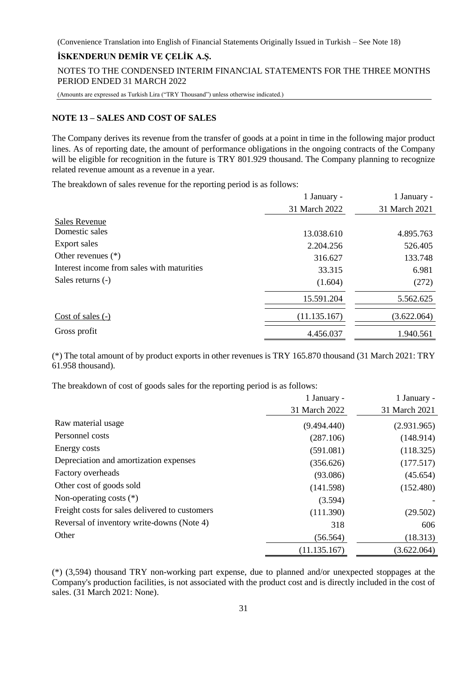# **İSKENDERUN DEMİR VE ÇELİK A.Ş.**

NOTES TO THE CONDENSED INTERIM FINANCIAL STATEMENTS FOR THE THREE MONTHS PERIOD ENDED 31 MARCH 2022

(Amounts are expressed as Turkish Lira ("TRY Thousand") unless otherwise indicated.)

#### **NOTE 13 – SALES AND COST OF SALES**

The Company derives its revenue from the transfer of goods at a point in time in the following major product lines. As of reporting date, the amount of performance obligations in the ongoing contracts of the Company will be eligible for recognition in the future is TRY 801.929 thousand. The Company planning to recognize related revenue amount as a revenue in a year.

The breakdown of sales revenue for the reporting period is as follows:

|                                            | 1 January -   | 1 January -   |
|--------------------------------------------|---------------|---------------|
|                                            | 31 March 2022 | 31 March 2021 |
| <b>Sales Revenue</b>                       |               |               |
| Domestic sales                             | 13.038.610    | 4.895.763     |
| Export sales                               | 2.204.256     | 526.405       |
| Other revenues $(*)$                       | 316.627       | 133.748       |
| Interest income from sales with maturities | 33.315        | 6.981         |
| Sales returns (-)                          | (1.604)       | (272)         |
|                                            | 15.591.204    | 5.562.625     |
| Cost of sales $(-)$                        | (11.135.167)  | (3.622.064)   |
| Gross profit                               | 4.456.037     | 1.940.561     |

(\*) The total amount of by product exports in other revenues is TRY 165.870 thousand (31 March 2021: TRY 61.958 thousand).

The breakdown of cost of goods sales for the reporting period is as follows:

|                                                | 1 January -   | 1 January -   |
|------------------------------------------------|---------------|---------------|
|                                                | 31 March 2022 | 31 March 2021 |
| Raw material usage                             | (9.494.440)   | (2.931.965)   |
| Personnel costs                                | (287.106)     | (148.914)     |
| Energy costs                                   | (591.081)     | (118.325)     |
| Depreciation and amortization expenses         | (356.626)     | (177.517)     |
| Factory overheads                              | (93.086)      | (45.654)      |
| Other cost of goods sold                       | (141.598)     | (152.480)     |
| Non-operating costs $(*)$                      | (3.594)       |               |
| Freight costs for sales delivered to customers | (111.390)     | (29.502)      |
| Reversal of inventory write-downs (Note 4)     | 318           | 606           |
| Other                                          | (56.564)      | (18.313)      |
|                                                | (11.135.167)  | (3.622.064)   |

(\*) (3,594) thousand TRY non-working part expense, due to planned and/or unexpected stoppages at the Company's production facilities, is not associated with the product cost and is directly included in the cost of sales. (31 March 2021: None).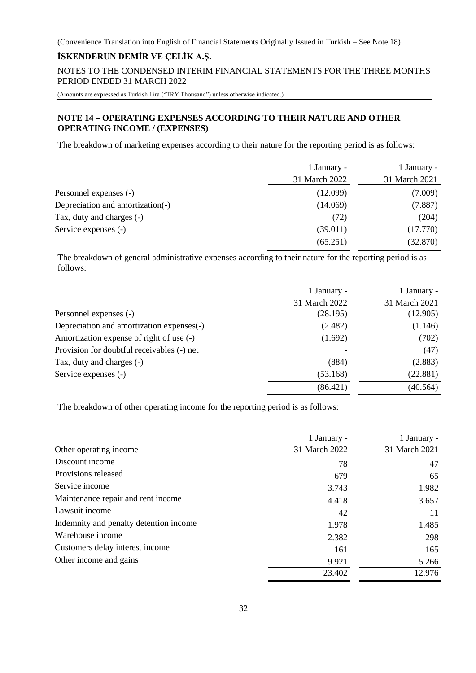# **İSKENDERUN DEMİR VE ÇELİK A.Ş.**

NOTES TO THE CONDENSED INTERIM FINANCIAL STATEMENTS FOR THE THREE MONTHS PERIOD ENDED 31 MARCH 2022

(Amounts are expressed as Turkish Lira ("TRY Thousand") unless otherwise indicated.)

# **NOTE 14 – OPERATING EXPENSES ACCORDING TO THEIR NATURE AND OTHER OPERATING INCOME / (EXPENSES)**

The breakdown of marketing expenses according to their nature for the reporting period is as follows:

|                                  | 1 January -   | 1 January -   |
|----------------------------------|---------------|---------------|
|                                  | 31 March 2022 | 31 March 2021 |
| Personnel expenses (-)           | (12.099)      | (7.009)       |
| Depreciation and amortization(-) | (14.069)      | (7.887)       |
| Tax, duty and charges (-)        | (72)          | (204)         |
| Service expenses (-)             | (39.011)      | (17.770)      |
|                                  | (65.251)      | (32.870)      |

The breakdown of general administrative expenses according to their nature for the reporting period is as follows:

|                                            | 1 January -   | 1 January -   |
|--------------------------------------------|---------------|---------------|
|                                            | 31 March 2022 | 31 March 2021 |
| Personnel expenses (-)                     | (28.195)      | (12.905)      |
| Depreciation and amortization expenses(-)  | (2.482)       | (1.146)       |
| Amortization expense of right of use (-)   | (1.692)       | (702)         |
| Provision for doubtful receivables (-) net |               | (47)          |
| Tax, duty and charges (-)                  | (884)         | (2.883)       |
| Service expenses (-)                       | (53.168)      | (22.881)      |
|                                            | (86.421)      | (40.564)      |

The breakdown of other operating income for the reporting period is as follows:

|                                        | 1 January -   | 1 January -   |
|----------------------------------------|---------------|---------------|
| Other operating income                 | 31 March 2022 | 31 March 2021 |
| Discount income                        | 78            | 47            |
| Provisions released                    | 679           | 65            |
| Service income                         | 3.743         | 1.982         |
| Maintenance repair and rent income     | 4.418         | 3.657         |
| Lawsuit income                         | 42            | 11            |
| Indemnity and penalty detention income | 1.978         | 1.485         |
| Warehouse income                       | 2.382         | 298           |
| Customers delay interest income        | 161           | 165           |
| Other income and gains                 | 9.921         | 5.266         |
|                                        | 23.402        | 12.976        |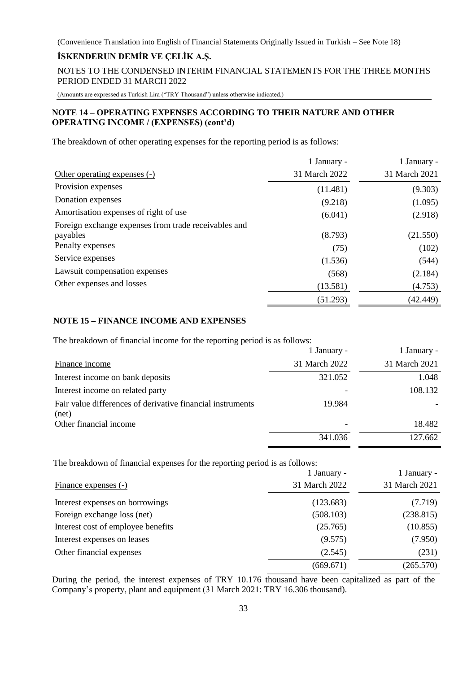# **İSKENDERUN DEMİR VE ÇELİK A.Ş.**

NOTES TO THE CONDENSED INTERIM FINANCIAL STATEMENTS FOR THE THREE MONTHS PERIOD ENDED 31 MARCH 2022

(Amounts are expressed as Turkish Lira ("TRY Thousand") unless otherwise indicated.)

# **NOTE 14 – OPERATING EXPENSES ACCORDING TO THEIR NATURE AND OTHER OPERATING INCOME / (EXPENSES) (cont'd)**

The breakdown of other operating expenses for the reporting period is as follows:

|                                                      | 1 January -   | 1 January -   |
|------------------------------------------------------|---------------|---------------|
| Other operating expenses (-)                         | 31 March 2022 | 31 March 2021 |
| Provision expenses                                   | (11.481)      | (9.303)       |
| Donation expenses                                    | (9.218)       | (1.095)       |
| Amortisation expenses of right of use                | (6.041)       | (2.918)       |
| Foreign exchange expenses from trade receivables and |               |               |
| payables                                             | (8.793)       | (21.550)      |
| Penalty expenses                                     | (75)          | (102)         |
| Service expenses                                     | (1.536)       | (544)         |
| Lawsuit compensation expenses                        | (568)         | (2.184)       |
| Other expenses and losses                            | (13.581)      | (4.753)       |
|                                                      | (51.293)      | (42.449)      |

# **NOTE 15 – FINANCE INCOME AND EXPENSES**

The breakdown of financial income for the reporting period is as follows:

|                                                                     | 1 January -   | 1 January -   |
|---------------------------------------------------------------------|---------------|---------------|
| Finance income                                                      | 31 March 2022 | 31 March 2021 |
| Interest income on bank deposits                                    | 321.052       | 1.048         |
| Interest income on related party                                    |               | 108.132       |
| Fair value differences of derivative financial instruments<br>(net) | 19.984        |               |
| Other financial income                                              |               | 18.482        |
|                                                                     | 341.036       | 127.662       |

The breakdown of financial expenses for the reporting period is as follows:

|                                    | 1 January -   | 1 January -   |
|------------------------------------|---------------|---------------|
| Finance expenses (-)               | 31 March 2022 | 31 March 2021 |
| Interest expenses on borrowings    | (123.683)     | (7.719)       |
| Foreign exchange loss (net)        | (508.103)     | (238.815)     |
| Interest cost of employee benefits | (25.765)      | (10.855)      |
| Interest expenses on leases        | (9.575)       | (7.950)       |
| Other financial expenses           | (2.545)       | (231)         |
|                                    | (669.671)     | (265.570)     |

During the period, the interest expenses of TRY 10.176 thousand have been capitalized as part of the Company's property, plant and equipment (31 March 2021: TRY 16.306 thousand).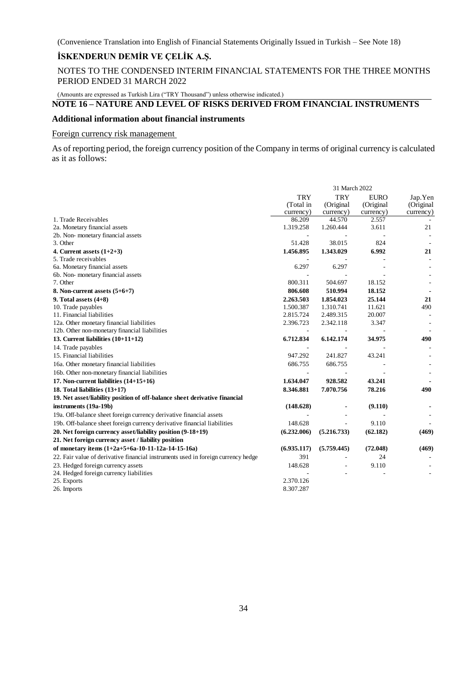# **İSKENDERUN DEMİR VE ÇELİK A.Ş.**

NOTES TO THE CONDENSED INTERIM FINANCIAL STATEMENTS FOR THE THREE MONTHS PERIOD ENDED 31 MARCH 2022

(Amounts are expressed as Turkish Lira ("TRY Thousand") unless otherwise indicated.)

# **NOTE 16 – NATURE AND LEVEL OF RISKS DERIVED FROM FINANCIAL INSTRUMENTS**

#### **Additional information about financial instruments**

# Foreign currency risk management

As of reporting period, the foreign currency position of the Company in terms of original currency is calculated as it as follows:

|                                                                                   | 31 March 2022            |                          |             |           |
|-----------------------------------------------------------------------------------|--------------------------|--------------------------|-------------|-----------|
|                                                                                   | <b>TRY</b>               | <b>TRY</b>               | <b>EURO</b> | Jap.Yen   |
|                                                                                   | (Total in                | (Original                | (Original   | (Original |
|                                                                                   | currency)                | currency)                | currency)   | currency) |
| 1. Trade Receivables                                                              | 86.209                   | 44.570                   | 2.557       |           |
| 2a. Monetary financial assets                                                     | 1.319.258                | 1.260.444                | 3.611       | 21        |
| 2b. Non-monetary financial assets                                                 | $\overline{\phantom{a}}$ |                          |             |           |
| 3. Other                                                                          | 51.428                   | 38.015                   | 824         |           |
| 4. Current assets $(1+2+3)$                                                       | 1.456.895                | 1.343.029                | 6.992       | 21        |
| 5. Trade receivables                                                              |                          |                          |             |           |
| 6a. Monetary financial assets                                                     | 6.297                    | 6.297                    |             |           |
| 6b. Non-monetary financial assets                                                 |                          |                          |             |           |
| 7. Other                                                                          | 800.311                  | 504.697                  | 18.152      |           |
| 8. Non-current assets $(5+6+7)$                                                   | 806.608                  | 510.994                  | 18.152      |           |
| 9. Total assets $(4+8)$                                                           | 2.263.503                | 1.854.023                | 25.144      | 21        |
| 10. Trade payables                                                                | 1.500.387                | 1.310.741                | 11.621      | 490       |
| 11. Financial liabilities                                                         | 2.815.724                | 2.489.315                | 20.007      |           |
| 12a. Other monetary financial liabilities                                         | 2.396.723                | 2.342.118                | 3.347       |           |
| 12b. Other non-monetary financial liabilities                                     |                          |                          |             |           |
| 13. Current liabilities (10+11+12)                                                | 6.712.834                | 6.142.174                | 34.975      | 490       |
| 14. Trade payables                                                                |                          |                          |             |           |
| 15. Financial liabilities                                                         | 947.292                  | 241.827                  | 43.241      |           |
| 16a. Other monetary financial liabilities                                         | 686.755                  | 686.755                  |             |           |
| 16b. Other non-monetary financial liabilities                                     |                          |                          |             |           |
| 17. Non-current liabilities (14+15+16)                                            | 1.634.047                | 928.582                  | 43.241      |           |
| 18. Total liabilities (13+17)                                                     | 8.346.881                | 7.070.756                | 78.216      | 490       |
| 19. Net asset/liability position of off-balance sheet derivative financial        |                          |                          |             |           |
| instruments (19a-19b)                                                             | (148.628)                |                          | (9.110)     |           |
| 19a. Off-balance sheet foreign currency derivative financial assets               |                          |                          |             |           |
| 19b. Off-balance sheet foreign currency derivative financial liabilities          | 148.628                  | $\overline{\phantom{a}}$ | 9.110       |           |
| 20. Net foreign currency asset/liability position (9-18+19)                       | (6.232.006)              | (5.216.733)              | (62.182)    | (469)     |
| 21. Net foreign currency asset / liability position                               |                          |                          |             |           |
| of monetary items (1+2a+5+6a-10-11-12a-14-15-16a)                                 | (6.935.117)              | (5.759.445)              | (72.048)    | (469)     |
| 22. Fair value of derivative financial instruments used in foreign currency hedge | 391                      |                          | 24          |           |
| 23. Hedged foreign currency assets                                                | 148.628                  | $\overline{\phantom{a}}$ | 9.110       |           |
| 24. Hedged foreign currency liabilities                                           |                          |                          |             |           |
| 25. Exports                                                                       | 2.370.126                |                          |             |           |
| 26. Imports                                                                       | 8.307.287                |                          |             |           |
|                                                                                   |                          |                          |             |           |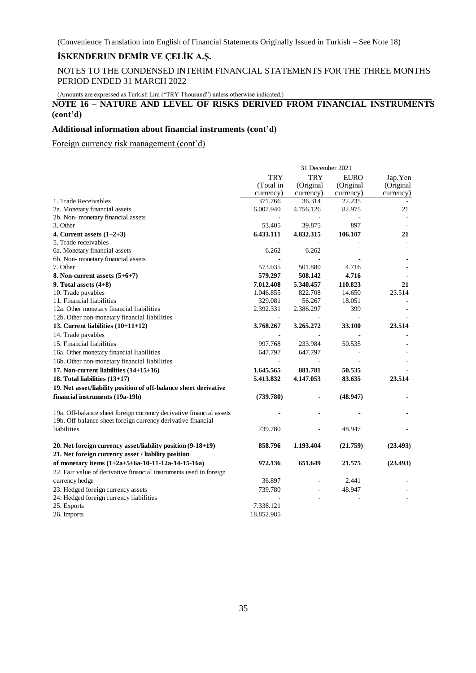NOTES TO THE CONDENSED INTERIM FINANCIAL STATEMENTS FOR THE THREE MONTHS PERIOD ENDED 31 MARCH 2022

(Amounts are expressed as Turkish Lira ("TRY Thousand") unless otherwise indicated.)

# **NOTE 16 – NATURE AND LEVEL OF RISKS DERIVED FROM FINANCIAL INSTRUMENTS (cont'd)**

#### **Additional information about financial instruments (cont'd)**

Foreign currency risk management (cont'd)

|                                                                                                                                     | 31 December 2021 |                |             |           |  |
|-------------------------------------------------------------------------------------------------------------------------------------|------------------|----------------|-------------|-----------|--|
|                                                                                                                                     | <b>TRY</b>       | <b>TRY</b>     | <b>EURO</b> | Jap.Yen   |  |
|                                                                                                                                     | (Total in        | (Original      | (Original   | (Original |  |
|                                                                                                                                     | currency)        | currency)      | currency)   | currency) |  |
| 1. Trade Receivables                                                                                                                | 371.766          | 36.314         | 22.235      |           |  |
| 2a. Monetary financial assets                                                                                                       | 6.007.940        | 4.756.126      | 82.975      | 21        |  |
| 2b. Non-monetary financial assets                                                                                                   |                  |                |             |           |  |
| 3. Other                                                                                                                            | 53.405           | 39.875         | 897         |           |  |
| 4. Current assets $(1+2+3)$                                                                                                         | 6.433.111        | 4.832.315      | 106.107     | 21        |  |
| 5. Trade receivables                                                                                                                |                  |                |             |           |  |
| 6a. Monetary financial assets                                                                                                       | 6.262            | 6.262          |             |           |  |
| 6b. Non-monetary financial assets                                                                                                   |                  |                |             |           |  |
| 7. Other                                                                                                                            | 573.035          | 501.880        | 4.716       |           |  |
| 8. Non-current assets $(5+6+7)$                                                                                                     | 579.297          | 508.142        | 4.716       |           |  |
| 9. Total assets $(4+8)$                                                                                                             | 7.012.408        | 5.340.457      | 110.823     | 21        |  |
| 10. Trade payables                                                                                                                  | 1.046.855        | 822.708        | 14.650      | 23.514    |  |
| 11. Financial liabilities                                                                                                           | 329.081          | 56.267         | 18.051      |           |  |
| 12a. Other monetary financial liabilities                                                                                           | 2.392.331        | 2.386.297      | 399         |           |  |
| 12b. Other non-monetary financial liabilities                                                                                       | $\sim$           |                |             |           |  |
| 13. Current liabilities $(10+11+12)$                                                                                                | 3.768.267        | 3.265.272      | 33.100      | 23.514    |  |
| 14. Trade payables                                                                                                                  |                  |                |             |           |  |
| 15. Financial liabilities                                                                                                           | 997.768          | 233.984        | 50.535      |           |  |
| 16a. Other monetary financial liabilities                                                                                           | 647.797          | 647.797        |             |           |  |
| 16b. Other non-monetary financial liabilities                                                                                       |                  |                |             |           |  |
| 17. Non-current liabilities $(14+15+16)$                                                                                            | 1.645.565        | 881.781        | 50.535      |           |  |
| 18. Total liabilities (13+17)                                                                                                       | 5.413.832        | 4.147.053      | 83.635      | 23.514    |  |
| 19. Net asset/liability position of off-balance sheet derivative                                                                    |                  |                |             |           |  |
| financial instruments (19a-19b)                                                                                                     | (739.780)        |                | (48.947)    |           |  |
| 19a. Off-balance sheet foreign currency derivative financial assets<br>19b. Off-balance sheet foreign currency derivative financial |                  |                |             |           |  |
| liabilities                                                                                                                         | 739.780          |                | 48.947      |           |  |
| 20. Net foreign currency asset/liability position (9-18+19)                                                                         | 858.796          | 1.193.404      | (21.759)    | (23.493)  |  |
| 21. Net foreign currency asset / liability position                                                                                 |                  |                |             |           |  |
| of monetary items (1+2a+5+6a-10-11-12a-14-15-16a)                                                                                   | 972.136          | 651.649        | 21.575      | (23.493)  |  |
| 22. Fair value of derivative financial instruments used in foreign                                                                  |                  |                |             |           |  |
| currency hedge                                                                                                                      | 36.897           |                | 2.441       |           |  |
| 23. Hedged foreign currency assets                                                                                                  | 739.780          | ä,             | 48.947      |           |  |
| 24. Hedged foreign currency liabilities                                                                                             |                  | $\overline{a}$ |             |           |  |
| 25. Exports                                                                                                                         | 7.338.121        |                |             |           |  |
| 26. Imports                                                                                                                         | 18.852.985       |                |             |           |  |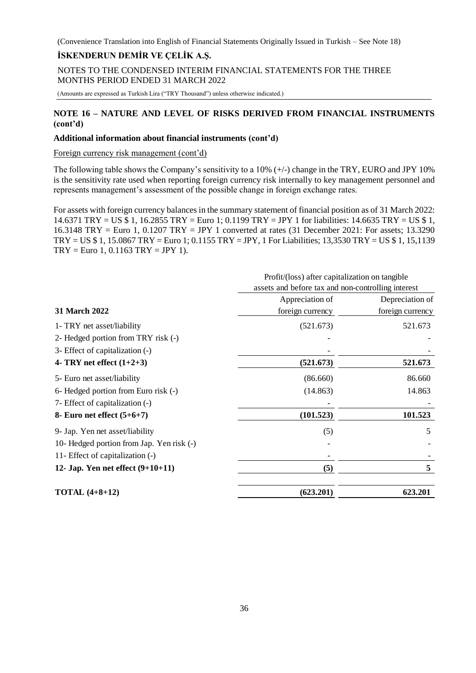# **İSKENDERUN DEMİR VE ÇELİK A.Ş.**

NOTES TO THE CONDENSED INTERIM FINANCIAL STATEMENTS FOR THE THREE MONTHS PERIOD ENDED 31 MARCH 2022

(Amounts are expressed as Turkish Lira ("TRY Thousand") unless otherwise indicated.)

# **NOTE 16 – NATURE AND LEVEL OF RISKS DERIVED FROM FINANCIAL INSTRUMENTS (cont'd)**

#### **Additional information about financial instruments (cont'd)**

Foreign currency risk management (cont'd)

The following table shows the Company's sensitivity to a  $10\%$  ( $+/-$ ) change in the TRY, EURO and JPY 10% is the sensitivity rate used when reporting foreign currency risk internally to key management personnel and represents management's assessment of the possible change in foreign exchange rates.

For assets with foreign currency balances in the summary statement of financial position as of 31 March 2022: 14.6371 TRY = US \$ 1, 16.2855 TRY = Euro 1; 0.1199 TRY = JPY 1 for liabilities: 14.6635 TRY = US \$ 1, 16.3148 TRY = Euro 1, 0.1207 TRY = JPY 1 converted at rates (31 December 2021: For assets; 13.3290 TRY = US \$ 1, 15.0867 TRY = Euro 1; 0.1155 TRY = JPY, 1 For Liabilities; 13,3530 TRY = US \$ 1, 15,1139  $TRY = Euro 1, 0.1163 TRY = JPY 1$ .

|                                           | Profit/(loss) after capitalization on tangible     |                  |  |
|-------------------------------------------|----------------------------------------------------|------------------|--|
|                                           | assets and before tax and non-controlling interest |                  |  |
|                                           | Appreciation of                                    | Depreciation of  |  |
| 31 March 2022                             | foreign currency                                   | foreign currency |  |
| 1- TRY net asset/liability                | (521.673)                                          | 521.673          |  |
| 2- Hedged portion from TRY risk (-)       |                                                    |                  |  |
| 3- Effect of capitalization (-)           |                                                    |                  |  |
| 4- TRY net effect $(1+2+3)$               | (521.673)                                          | 521.673          |  |
| 5- Euro net asset/liability               | (86.660)                                           | 86.660           |  |
| 6- Hedged portion from Euro risk (-)      | (14.863)                                           | 14.863           |  |
| 7- Effect of capitalization (-)           |                                                    |                  |  |
| 8- Euro net effect $(5+6+7)$              | (101.523)                                          | 101.523          |  |
| 9- Jap. Yen net asset/liability           | (5)                                                | 5                |  |
| 10- Hedged portion from Jap. Yen risk (-) |                                                    |                  |  |
| 11- Effect of capitalization (-)          |                                                    |                  |  |
| 12- Jap. Yen net effect $(9+10+11)$       | (5)                                                | 5                |  |
| <b>TOTAL</b> $(4+8+12)$                   | (623.201)                                          | 623.201          |  |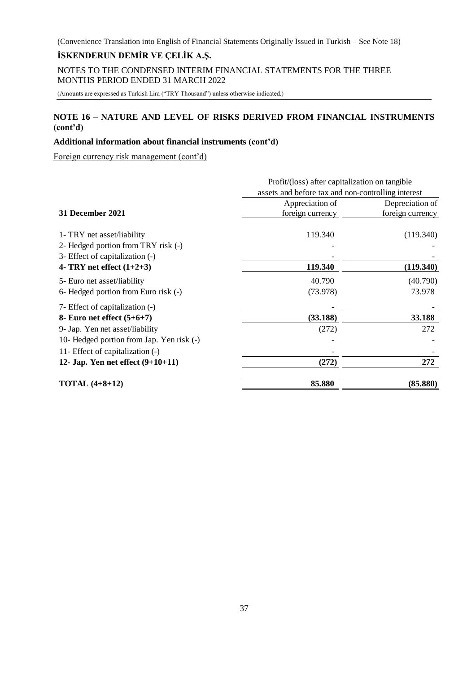# **İSKENDERUN DEMİR VE ÇELİK A.Ş.**

NOTES TO THE CONDENSED INTERIM FINANCIAL STATEMENTS FOR THE THREE MONTHS PERIOD ENDED 31 MARCH 2022

(Amounts are expressed as Turkish Lira ("TRY Thousand") unless otherwise indicated.)

# **NOTE 16 – NATURE AND LEVEL OF RISKS DERIVED FROM FINANCIAL INSTRUMENTS (cont'd)**

# **Additional information about financial instruments (cont'd)**

Foreign currency risk management (cont'd)

|                                                                                                      | Profit/(loss) after capitalization on tangible<br>assets and before tax and non-controlling interest |                                     |  |
|------------------------------------------------------------------------------------------------------|------------------------------------------------------------------------------------------------------|-------------------------------------|--|
| 31 December 2021                                                                                     | Appreciation of<br>foreign currency                                                                  | Depreciation of<br>foreign currency |  |
| 1- TRY net asset/liability<br>2- Hedged portion from TRY risk (-)<br>3- Effect of capitalization (-) | 119.340                                                                                              | (119.340)                           |  |
| 4- TRY net effect $(1+2+3)$                                                                          | 119.340                                                                                              | (119.340)                           |  |
| 5- Euro net asset/liability<br>6- Hedged portion from Euro risk (-)                                  | 40.790<br>(73.978)                                                                                   | (40.790)<br>73.978                  |  |
| 7- Effect of capitalization (-)<br>8- Euro net effect $(5+6+7)$                                      | (33.188)                                                                                             | 33.188                              |  |
| 9- Jap. Yen net asset/liability<br>10- Hedged portion from Jap. Yen risk (-)                         | (272)                                                                                                | 272                                 |  |
| 11- Effect of capitalization (-)<br>12- Jap. Yen net effect $(9+10+11)$                              | (272)                                                                                                | 272                                 |  |
| <b>TOTAL</b> $(4+8+12)$                                                                              | 85.880                                                                                               | (85.880)                            |  |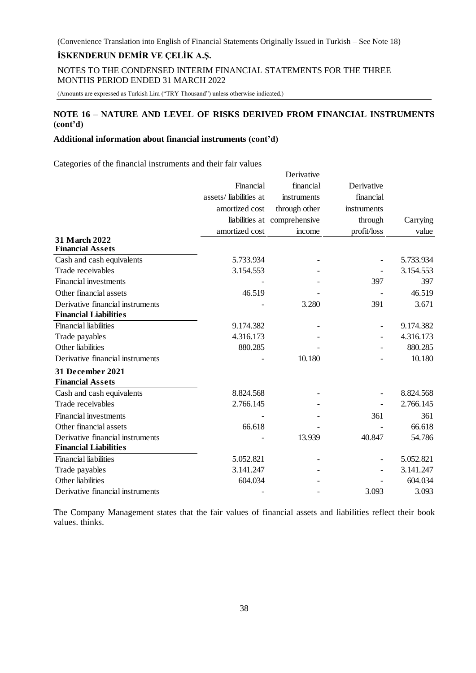NOTES TO THE CONDENSED INTERIM FINANCIAL STATEMENTS FOR THE THREE MONTHS PERIOD ENDED 31 MARCH 2022

(Amounts are expressed as Turkish Lira ("TRY Thousand") unless otherwise indicated.)

# **NOTE 16 – NATURE AND LEVEL OF RISKS DERIVED FROM FINANCIAL INSTRUMENTS (cont'd)**

#### **Additional information about financial instruments (cont'd)**

Categories of the financial instruments and their fair values

|                                          |                       | Derivative                   |             |           |
|------------------------------------------|-----------------------|------------------------------|-------------|-----------|
|                                          | Financial             | financial                    | Derivative  |           |
|                                          | assets/liabilities at | instruments                  | financial   |           |
|                                          | amortized cost        | through other                | instruments |           |
|                                          |                       | liabilities at comprehensive | through     | Carrying  |
|                                          | amortized cost        | income                       | profit/loss | value     |
| 31 March 2022<br><b>Financial Assets</b> |                       |                              |             |           |
| Cash and cash equivalents                | 5.733.934             |                              |             | 5.733.934 |
| Trade receivables                        | 3.154.553             |                              |             | 3.154.553 |
| <b>Financial investments</b>             |                       |                              | 397         | 397       |
| Other financial assets                   | 46.519                |                              |             | 46.519    |
| Derivative financial instruments         |                       | 3.280                        | 391         | 3.671     |
| <b>Financial Liabilities</b>             |                       |                              |             |           |
| <b>Financial liabilities</b>             | 9.174.382             |                              |             | 9.174.382 |
| Trade payables                           | 4.316.173             |                              |             | 4.316.173 |
| Other liabilities                        | 880.285               |                              |             | 880.285   |
| Derivative financial instruments         |                       | 10.180                       |             | 10.180    |
| 31 December 2021                         |                       |                              |             |           |
| <b>Financial Assets</b>                  |                       |                              |             |           |
| Cash and cash equivalents                | 8.824.568             |                              |             | 8.824.568 |
| Trade receivables                        | 2.766.145             |                              |             | 2.766.145 |
| <b>Financial investments</b>             |                       |                              | 361         | 361       |
| Other financial assets                   | 66.618                |                              |             | 66.618    |
| Derivative financial instruments         |                       | 13.939                       | 40.847      | 54.786    |
| <b>Financial Liabilities</b>             |                       |                              |             |           |
| <b>Financial liabilities</b>             | 5.052.821             |                              |             | 5.052.821 |
| Trade payables                           | 3.141.247             |                              |             | 3.141.247 |
| Other liabilities                        | 604.034               |                              |             | 604.034   |
| Derivative financial instruments         |                       |                              | 3.093       | 3.093     |

The Company Management states that the fair values of financial assets and liabilities reflect their book values. thinks.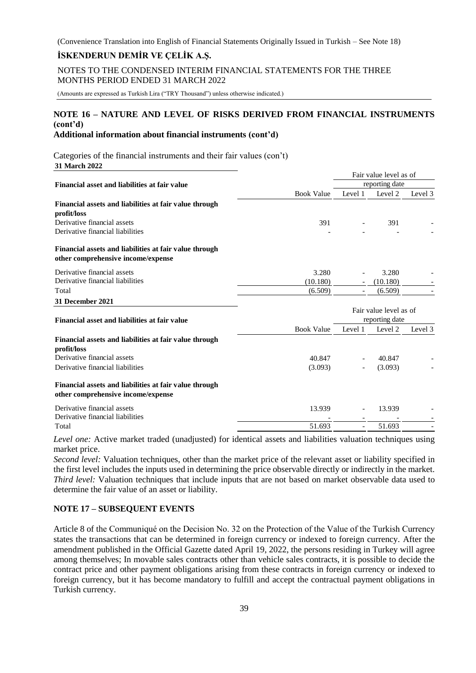# **İSKENDERUN DEMİR VE ÇELİK A.Ş.**

NOTES TO THE CONDENSED INTERIM FINANCIAL STATEMENTS FOR THE THREE MONTHS PERIOD ENDED 31 MARCH 2022

(Amounts are expressed as Turkish Lira ("TRY Thousand") unless otherwise indicated.)

# **NOTE 16 – NATURE AND LEVEL OF RISKS DERIVED FROM FINANCIAL INSTRUMENTS (cont'd)**

# **Additional information about financial instruments (cont'd)**

Categories of the financial instruments and their fair values (con't) **31 March 2022**

|                                                                                              |                   | Fair value level as of<br>reporting date |          |         |
|----------------------------------------------------------------------------------------------|-------------------|------------------------------------------|----------|---------|
| Financial asset and liabilities at fair value                                                |                   |                                          |          |         |
|                                                                                              | <b>Book Value</b> | Level 1                                  | Level 2  | Level 3 |
| Financial assets and liabilities at fair value through                                       |                   |                                          |          |         |
| profit/loss                                                                                  |                   |                                          |          |         |
| Derivative financial assets                                                                  | 391               |                                          | 391      |         |
| Derivative financial liabilities                                                             |                   |                                          |          |         |
| Financial assets and liabilities at fair value through                                       |                   |                                          |          |         |
| other comprehensive income/expense                                                           |                   |                                          |          |         |
| Derivative financial assets                                                                  | 3.280             |                                          | 3.280    |         |
| Derivative financial liabilities                                                             | (10.180)          |                                          | (10.180) |         |
| Total                                                                                        | (6.509)           | $\overline{\phantom{a}}$                 | (6.509)  |         |
| 31 December 2021                                                                             |                   |                                          |          |         |
|                                                                                              |                   | Fair value level as of                   |          |         |
| <b>Financial asset and liabilities at fair value</b>                                         |                   | reporting date                           |          |         |
|                                                                                              | <b>Book Value</b> | Level 1                                  | Level 2  | Level 3 |
| Financial assets and liabilities at fair value through                                       |                   |                                          |          |         |
| profit/loss                                                                                  |                   |                                          |          |         |
| Derivative financial assets                                                                  | 40.847            |                                          | 40.847   |         |
| Derivative financial liabilities                                                             | (3.093)           |                                          | (3.093)  |         |
| Financial assets and liabilities at fair value through<br>other comprehensive income/expense |                   |                                          |          |         |
| Derivative financial assets                                                                  | 13.939            |                                          | 13.939   |         |
| Derivative financial liabilities                                                             |                   |                                          |          |         |
| Total                                                                                        | 51.693            | $\blacksquare$                           | 51.693   |         |

*Level one:* Active market traded (unadjusted) for identical assets and liabilities valuation techniques using market price.

*Second level:* Valuation techniques, other than the market price of the relevant asset or liability specified in the first level includes the inputs used in determining the price observable directly or indirectly in the market. *Third level:* Valuation techniques that include inputs that are not based on market observable data used to determine the fair value of an asset or liability.

#### **NOTE 17 – SUBSEQUENT EVENTS**

Article 8 of the Communiqué on the Decision No. 32 on the Protection of the Value of the Turkish Currency states the transactions that can be determined in foreign currency or indexed to foreign currency. After the amendment published in the Official Gazette dated April 19, 2022, the persons residing in Turkey will agree among themselves; In movable sales contracts other than vehicle sales contracts, it is possible to decide the contract price and other payment obligations arising from these contracts in foreign currency or indexed to foreign currency, but it has become mandatory to fulfill and accept the contractual payment obligations in Turkish currency.